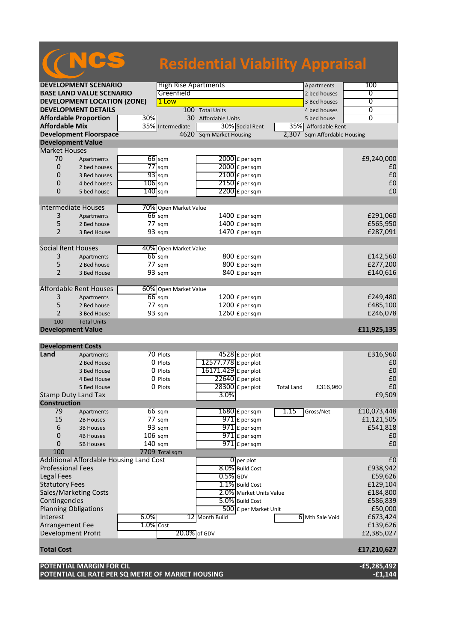# NCS **Residential Viability Appraisal**

| <b>DEVELOPMENT SCENARIO</b> |                                         |              | <b>High Rise Apartments</b> |                          |                         |                   | Apartments                   | 100            |
|-----------------------------|-----------------------------------------|--------------|-----------------------------|--------------------------|-------------------------|-------------------|------------------------------|----------------|
|                             | <b>BASE LAND VALUE SCENARIO</b>         |              | Greenfield                  |                          |                         |                   | 2 bed houses                 | 0              |
|                             | <b>DEVELOPMENT LOCATION (ZONE)</b>      |              | 1 Low                       |                          |                         |                   | 3 Bed houses                 | $\overline{0}$ |
|                             | <b>DEVELOPMENT DETAILS</b>              |              |                             | 100 Total Units          |                         |                   | 4 bed houses                 | $\overline{0}$ |
|                             | <b>Affordable Proportion</b>            | 30%          |                             | 30 Affordable Units      |                         |                   | 5 bed house                  | $\overline{0}$ |
| <b>Affordable Mix</b>       |                                         |              | 35% Intermediate            | 30% Social Rent          |                         |                   | 35% Affordable Rent          |                |
|                             | <b>Development Floorspace</b>           |              |                             | 4620 Sqm Market Housing  |                         |                   | 2,307 Sqm Affordable Housing |                |
|                             | <b>Development Value</b>                |              |                             |                          |                         |                   |                              |                |
| <b>Market Houses</b>        |                                         |              |                             |                          |                         |                   |                              |                |
| 70                          | Apartments                              |              | $66$ sqm                    | 2000 £ per sqm           |                         |                   |                              | £9,240,000     |
| 0                           | 2 bed houses                            |              | $77$ sqm                    | 2000 £ per sqm           |                         |                   |                              | £0             |
| 0                           | 3 Bed houses                            |              | $93$ sqm                    | $2100$ £ per sqm         |                         |                   |                              | £0             |
| $\boldsymbol{0}$            | 4 bed houses                            | $106$ sqm    |                             | 2150 £ per sqm           |                         |                   |                              | £0             |
| 0                           | 5 bed house                             | $140$ sqm    |                             | $2200$ £ per sqm         |                         |                   |                              | £0             |
|                             |                                         |              |                             |                          |                         |                   |                              |                |
|                             | <b>Intermediate Houses</b>              |              | 70% Open Market Value       |                          |                         |                   |                              |                |
| 3                           | Apartments                              |              | $66$ sqm                    | 1400 £ per sqm           |                         |                   |                              | £291,060       |
| 5                           | 2 Bed house                             |              | 77 sqm                      | 1400 £ per sqm           |                         |                   |                              | £565,950       |
| 2                           | 3 Bed House                             |              | 93 sqm                      | 1470 £ per sqm           |                         |                   |                              | £287,091       |
|                             |                                         |              |                             |                          |                         |                   |                              |                |
| <b>Social Rent Houses</b>   |                                         |              | 40% Open Market Value       |                          |                         |                   |                              |                |
| 3                           | Apartments                              |              | $66$ sqm                    | 800 £ per sqm            |                         |                   |                              | £142,560       |
| 5                           | 2 Bed house                             |              | $77 \text{ sqm}$            | 800 £ per sqm            |                         |                   |                              | £277,200       |
| 2                           | 3 Bed House                             |              | 93 sqm                      | 840 £ per sqm            |                         |                   |                              | £140,616       |
|                             |                                         |              |                             |                          |                         |                   |                              |                |
|                             | <b>Affordable Rent Houses</b>           |              | 60% Open Market Value       |                          |                         |                   |                              |                |
| 3                           | Apartments                              |              | $66$ sqm                    | 1200 £ per sqm           |                         |                   |                              | £249,480       |
| 5                           | 2 Bed house                             |              | 77 sqm                      | 1200 £ per sqm           |                         |                   |                              | £485,100       |
| 2                           | 3 Bed House                             |              | 93 sqm                      | 1260 £ per sqm           |                         |                   |                              | £246,078       |
| 100                         | <b>Total Units</b>                      |              |                             |                          |                         |                   |                              |                |
|                             | <b>Development Value</b>                |              |                             |                          |                         |                   |                              | £11,925,135    |
|                             |                                         |              |                             |                          |                         |                   |                              |                |
|                             |                                         |              |                             |                          |                         |                   |                              |                |
|                             |                                         |              |                             |                          |                         |                   |                              |                |
|                             | <b>Development Costs</b>                |              |                             |                          |                         |                   |                              |                |
| Land                        | Apartments                              |              | 70 Plots                    | $4528$ $E$ per plot      |                         |                   |                              | £316,960       |
|                             | 2 Bed House                             |              | 0 Plots                     | 12577.778 £ per plot     |                         |                   |                              | £0             |
|                             | 3 Bed House                             |              | 0 Plots                     | 16171.429 £ per plot     |                         |                   |                              | £0             |
|                             | 4 Bed House                             |              | 0 Plots                     | $22640$ £ per plot       |                         |                   |                              | £0             |
|                             | 5 Bed House                             |              | 0 Plots                     | 28300 £ per plot         |                         | <b>Total Land</b> | £316,960                     | £0             |
|                             | <b>Stamp Duty Land Tax</b>              |              |                             | 3.0%                     |                         |                   |                              | £9,509         |
| <b>Construction</b>         |                                         |              |                             |                          |                         |                   |                              |                |
| 79                          | Apartments                              |              | $66 \text{ sqm}$            | $1680 \text{ f}$ per sqm |                         | 1.15              | Gross/Net                    | £10,073,448    |
| 15                          | 2B Houses                               |              | 77 sqm                      | $971$ £ per sqm          |                         |                   |                              | £1,121,505     |
| 6                           | <b>3B Houses</b>                        |              | 93 sqm                      | $971$ $E$ per sqm        |                         |                   |                              | £541,818       |
| 0                           | <b>4B Houses</b>                        | $106$ sqm    |                             | 971 £ per sqm            |                         |                   |                              | £0             |
| 0                           | <b>5B Houses</b>                        | 140 sqm      |                             | $971$ £ per sqm          |                         |                   |                              | £0             |
| 100                         |                                         |              | 7709 Total sqm              |                          |                         |                   |                              |                |
|                             | Additional Affordable Housing Land Cost |              |                             | $\overline{0}$ per plot  |                         |                   |                              | E <sub>0</sub> |
| <b>Professional Fees</b>    |                                         |              |                             | 8.0% Build Cost          |                         |                   |                              | £938,942       |
| <b>Legal Fees</b>           |                                         |              |                             | $0.5\%$ GDV              |                         |                   |                              | £59,626        |
| <b>Statutory Fees</b>       |                                         |              |                             | 1.1% Build Cost          |                         |                   |                              | £129,104       |
|                             | Sales/Marketing Costs                   |              |                             |                          | 2.0% Market Units Value |                   |                              | £184,800       |
| Contingencies               |                                         |              |                             | 5.0% Build Cost          |                         |                   |                              | £586,839       |
|                             | <b>Planning Obligations</b>             |              |                             |                          | 500 £ per Market Unit   |                   |                              | £50,000        |
| Interest                    |                                         | 6.0%         |                             | 12 Month Build           |                         |                   | 6 Mth Sale Void              | £673,424       |
| Arrangement Fee             |                                         | $1.0\%$ Cost |                             |                          |                         |                   |                              | £139,626       |
|                             | Development Profit                      |              | 20.0% of GDV                |                          |                         |                   |                              | £2,385,027     |
|                             |                                         |              |                             |                          |                         |                   |                              |                |
| <b>Total Cost</b>           |                                         |              |                             |                          |                         |                   |                              | £17,210,627    |

**POTENTIAL CIL RATE PER SQ METRE OF MARKET HOUSING -£1,144**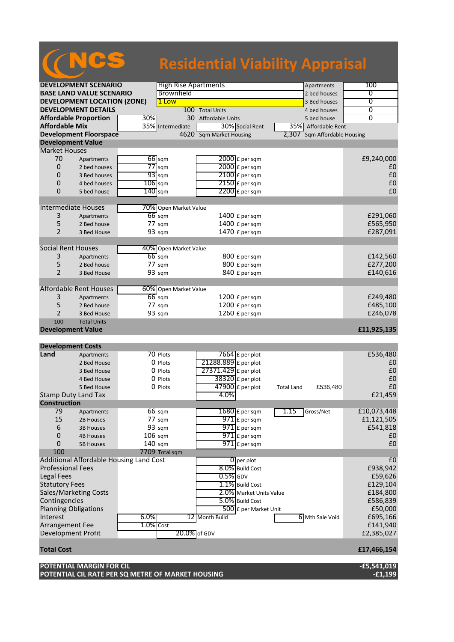# NCS **Residential Viability Appraisal**

| <b>DEVELOPMENT SCENARIO</b> |                                         |              | <b>High Rise Apartments</b> |                          |                         |                   | Apartments                   | 100            |
|-----------------------------|-----------------------------------------|--------------|-----------------------------|--------------------------|-------------------------|-------------------|------------------------------|----------------|
|                             | <b>BASE LAND VALUE SCENARIO</b>         |              | Brownfield                  |                          |                         |                   | 2 bed houses                 | 0              |
|                             | <b>DEVELOPMENT LOCATION (ZONE)</b>      |              | 1 Low                       |                          |                         |                   | 3 Bed houses                 | $\overline{0}$ |
|                             | <b>DEVELOPMENT DETAILS</b>              |              |                             | 100 Total Units          |                         |                   | 4 bed houses                 | $\overline{0}$ |
|                             | <b>Affordable Proportion</b>            | 30%          |                             | 30 Affordable Units      |                         |                   | 5 bed house                  | 0              |
| <b>Affordable Mix</b>       |                                         |              | 35% Intermediate            | 30% Social Rent          |                         |                   | 35% Affordable Rent          |                |
|                             | <b>Development Floorspace</b>           |              |                             | 4620 Sqm Market Housing  |                         |                   | 2,307 Sqm Affordable Housing |                |
|                             | <b>Development Value</b>                |              |                             |                          |                         |                   |                              |                |
| <b>Market Houses</b>        |                                         |              |                             |                          |                         |                   |                              |                |
| 70                          | Apartments                              |              | $66$ sqm                    | 2000 £ per sqm           |                         |                   |                              | £9,240,000     |
| 0                           | 2 bed houses                            |              | $77$ sqm                    | 2000 £ per sqm           |                         |                   |                              | £0             |
| 0                           | 3 Bed houses                            |              | $93$ sqm                    | $2100$ £ per sqm         |                         |                   |                              | £0             |
| 0                           | 4 bed houses                            | $106$ sqm    |                             | 2150 £ per sqm           |                         |                   |                              | £0             |
| 0                           | 5 bed house                             |              | $140$ sqm                   | $2200$ £ per sqm         |                         |                   |                              | £0             |
|                             |                                         |              |                             |                          |                         |                   |                              |                |
|                             | <b>Intermediate Houses</b>              |              | 70% Open Market Value       |                          |                         |                   |                              |                |
| 3                           | Apartments                              |              | $66 \text{ sqm}$            | 1400 £ per sqm           |                         |                   |                              | £291,060       |
| 5                           | 2 Bed house                             |              | $77 \text{ sqm}$            | 1400 £ per sqm           |                         |                   |                              | £565,950       |
| $\overline{2}$              | 3 Bed House                             |              | 93 sqm                      | 1470 £ per sqm           |                         |                   |                              | £287,091       |
|                             |                                         |              |                             |                          |                         |                   |                              |                |
| <b>Social Rent Houses</b>   |                                         |              | 40% Open Market Value       |                          |                         |                   |                              |                |
| 3                           | Apartments                              |              | $66$ sqm                    | 800 £ per sqm            |                         |                   |                              | £142,560       |
| 5                           | 2 Bed house                             |              | $77 \text{ sqm}$            | 800 £ per sqm            |                         |                   |                              | £277,200       |
| 2                           | 3 Bed House                             |              | 93 sqm                      | 840 £ per sqm            |                         |                   |                              | £140,616       |
|                             |                                         |              |                             |                          |                         |                   |                              |                |
|                             | Affordable Rent Houses                  |              | 60% Open Market Value       |                          |                         |                   |                              |                |
| 3                           | Apartments                              |              | $66$ sqm                    | 1200 £ per sqm           |                         |                   |                              | £249,480       |
| 5                           | 2 Bed house                             |              | 77 sqm                      | 1200 £ per sqm           |                         |                   |                              | £485,100       |
| $\overline{2}$              | 3 Bed House                             |              | 93 sqm                      | 1260 £ per sqm           |                         |                   |                              | £246,078       |
| 100                         | <b>Total Units</b>                      |              |                             |                          |                         |                   |                              |                |
|                             | <b>Development Value</b>                |              |                             |                          |                         |                   |                              | £11,925,135    |
|                             |                                         |              |                             |                          |                         |                   |                              |                |
| <b>Development Costs</b>    |                                         |              |                             |                          |                         |                   |                              |                |
| Land                        | Apartments                              |              | 70 Plots                    | $7664$ $E$ per plot      |                         |                   |                              | £536,480       |
|                             | 2 Bed House                             |              | 0 Plots                     | $21288.889$ £ per plot   |                         |                   |                              | £0             |
|                             | 3 Bed House                             |              | 0 Plots                     | 27371.429 £ per plot     |                         |                   |                              | £0             |
|                             | 4 Bed House                             |              | 0 Plots                     | $38320$ £ per plot       |                         |                   |                              | £0             |
|                             | 5 Bed House                             |              | 0 Plots                     | 47900 £ per plot         |                         |                   | £536,480                     | £0             |
|                             | <b>Stamp Duty Land Tax</b>              |              |                             | 4.0%                     |                         | <b>Total Land</b> |                              | £21,459        |
| <b>Construction</b>         |                                         |              |                             |                          |                         |                   |                              |                |
| 79                          |                                         |              | 66 sqm                      | $1680 \text{ f}$ per sqm |                         | 1.15              | Gross/Net                    | £10,073,448    |
| 15                          | Apartments                              |              | 77 sqm                      | $971$ £ per sqm          |                         |                   |                              | £1,121,505     |
|                             | 2B Houses                               |              |                             | $971$ £ per sqm          |                         |                   |                              | £541,818       |
| 6                           | <b>3B Houses</b>                        |              | 93 sqm                      |                          |                         |                   |                              |                |
| 0                           | <b>4B Houses</b>                        |              | $106$ sqm                   | $971$ $E$ per sqm        |                         |                   |                              | £0             |
| 0                           | <b>5B Houses</b>                        | 140 sqm      |                             | $971$ $E$ per sqm        |                         |                   |                              | £0             |
| 100                         |                                         |              | 7709 Total sqm              |                          |                         |                   |                              |                |
|                             | Additional Affordable Housing Land Cost |              |                             | $\mathbf{0}$ per plot    |                         |                   |                              | E <sub>0</sub> |
| <b>Professional Fees</b>    |                                         |              |                             | 8.0% Build Cost          |                         |                   |                              | £938,942       |
| <b>Legal Fees</b>           |                                         |              |                             | $0.5\%$ GDV              |                         |                   |                              | £59,626        |
| <b>Statutory Fees</b>       |                                         |              |                             | 1.1% Build Cost          |                         |                   |                              | £129,104       |
|                             | Sales/Marketing Costs                   |              |                             |                          | 2.0% Market Units Value |                   |                              | £184,800       |
| Contingencies               |                                         |              |                             | 5.0% Build Cost          |                         |                   |                              | £586,839       |
|                             | <b>Planning Obligations</b>             |              |                             |                          | 500 £ per Market Unit   |                   |                              | £50,000        |
| Interest                    |                                         | 6.0%         |                             | 12 Month Build           |                         |                   | 6 Mth Sale Void              | £695,166       |
| Arrangement Fee             |                                         | $1.0\%$ Cost |                             |                          |                         |                   |                              | £141,940       |
|                             |                                         |              |                             |                          |                         |                   |                              |                |
| Development Profit          |                                         |              | 20.0% of GDV                |                          |                         |                   |                              | £2,385,027     |
|                             |                                         |              |                             |                          |                         |                   |                              |                |
| <b>Total Cost</b>           |                                         |              |                             |                          |                         |                   |                              | £17,466,154    |

**POTENTIAL CIL RATE PER SQ METRE OF MARKET HOUSING -£1,199**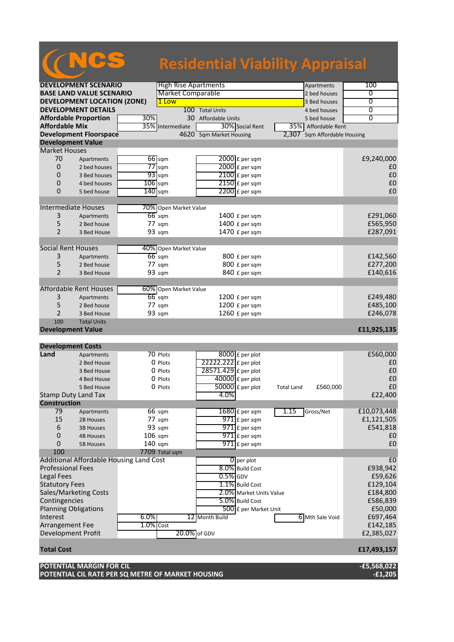|                          |                                    |           |                             | <b>Residential Viability Appraisal</b> |                  |      |                              |            |
|--------------------------|------------------------------------|-----------|-----------------------------|----------------------------------------|------------------|------|------------------------------|------------|
|                          | <b>DEVELOPMENT SCENARIO</b>        |           | <b>High Rise Apartments</b> |                                        |                  |      | Apartments                   | 100        |
|                          | <b>BASE LAND VALUE SCENARIO</b>    |           | <b>Market Comparable</b>    |                                        |                  |      | 2 bed houses                 | 0          |
|                          | <b>DEVELOPMENT LOCATION (ZONE)</b> |           | 1 Low                       |                                        |                  |      | 3 Bed houses                 | 0          |
|                          | <b>DEVELOPMENT DETAILS</b>         |           | 100                         | <b>Total Units</b>                     |                  |      | 4 bed houses                 | 0          |
|                          | <b>Affordable Proportion</b>       | 30%l      | 30                          | <b>Affordable Units</b>                |                  |      | 5 bed house                  | 0          |
| <b>Affordable Mix</b>    |                                    |           | 35% Intermediate            |                                        | 30% Social Rent  | 35%1 | Affordable Rent              |            |
|                          | <b>Development Floorspace</b>      |           |                             | 4620 Sqm Market Housing                |                  |      | 2,307 Sqm Affordable Housing |            |
| <b>Development Value</b> |                                    |           |                             |                                        |                  |      |                              |            |
| <b>Market Houses</b>     |                                    |           |                             |                                        |                  |      |                              |            |
| 70                       | Apartments                         |           | $66$ sqm                    |                                        | $2000$ £ per sqm |      |                              | £9,240,000 |
| $\Omega$                 | 2 bed houses                       |           | $77$ sqm                    |                                        | 2000 £ per sqm   |      |                              | £0         |
| $\Omega$                 | 3 Bed houses                       |           | $93$ sqm                    |                                        | $2100$ £ per sqm |      |                              | £0         |
| $\mathbf 0$              | 4 bed houses                       | $106$ sqm |                             |                                        | 2150 £ per sqm   |      |                              | £0         |
| $\Omega$                 | 5 bed house                        | $140$ sqm |                             |                                        | $2200$ £ per sqm |      |                              | £0         |
|                          |                                    |           |                             |                                        |                  |      |                              |            |
|                          | <b>Intermediate Houses</b>         |           | 70% Open Market Value       |                                        |                  |      |                              |            |
| 3                        | Apartments                         |           | 66 sqm                      |                                        | 1400 $E$ per sqm |      |                              | £291,060   |
| 5                        | 2 Bed house                        |           | 77 sqm                      |                                        | 1400 £ per sqm   |      |                              | £565,950   |
| 2                        | 3 Bed House                        |           | 93 sam                      |                                        | 1470 £ per sqm   |      |                              | £287,091   |

|                | Intermediate Houses    | 70% Open Market Value |                  |          |
|----------------|------------------------|-----------------------|------------------|----------|
| 3              | Apartments             | $66 \text{ sqm}$      | 1400 $E$ per sqm | £291,060 |
| 5              | 2 Bed house            | $77 \text{ sqm}$      | $1400$ £ per sqm | £565,950 |
| 2              | 3 Bed House            | 93 sam                | 1470 $E$ per sqm | £287,091 |
|                |                        |                       |                  |          |
|                | Social Rent Houses     | 40% Open Market Value |                  |          |
| 3              | Apartments             | $66$ sqm              | 800 £ per sqm    | £142,560 |
| 5.             | 2 Bed house            | $77 \text{ sqm}$      | 800 £ per sqm    | £277,200 |
| $\overline{2}$ | 3 Bed House            | 93 sqm                | 840 £ per sqm    | £140,616 |
|                |                        |                       |                  |          |
|                | Affordable Rent Houses | 60% Open Market Value |                  |          |
| 3              | Apartments             | 66 sqm                | 1200 $E$ per sqm | £249,480 |
| 5.             | 2 Bed house            | 77 sqm                | $1200$ £ per sqm | £485,100 |
|                | 3 Bed House            | 93 sqm                | $1260$ £ per sqm | £246,078 |
| 100            | <b>Total Units</b>     |                       |                  |          |

**Development Value £11,925,135**

| <b>Development Costs</b>    |                       |                                         |                      |                          |                   |                 |                |
|-----------------------------|-----------------------|-----------------------------------------|----------------------|--------------------------|-------------------|-----------------|----------------|
| Land                        | Apartments            | 70 Plots                                |                      | 8000 £ per plot          |                   |                 | £560,000       |
|                             | 2 Bed House           | 0 Plots                                 | 22222.222 £ per plot |                          |                   |                 | £0             |
|                             | 3 Bed House           | 0 Plots                                 | 28571.429 £ per plot |                          |                   |                 | £0             |
|                             | 4 Bed House           | O Plots                                 |                      | $40000$ $E$ per plot     |                   |                 | £0             |
|                             | 5 Bed House           | O Plots                                 |                      | $50000$ £ per plot       | <b>Total Land</b> | £560,000        | £0             |
| <b>Stamp Duty Land Tax</b>  |                       |                                         | 4.0%                 |                          |                   |                 | £22,400        |
| <b>Construction</b>         |                       |                                         |                      |                          |                   |                 |                |
| 79                          | Apartments            | $66 \text{ sqm}$                        |                      | $1680 \text{ f}$ per sqm | 1.15              | Gross/Net       | £10,073,448    |
| 15                          | 2B Houses             | 77 sqm                                  |                      | $971$ $E$ per sqm        |                   |                 | £1,121,505     |
| 6                           | <b>3B Houses</b>      | 93 sqm                                  |                      | $971$ E per sqm          |                   |                 | £541,818       |
| 0                           | <b>4B Houses</b>      | $106 \text{ sqm}$                       |                      | $971$ E per sqm          |                   |                 | £0             |
| $\Omega$                    | <b>5B Houses</b>      | 140 sqm                                 |                      | $971$ £ per sqm          |                   |                 | £0             |
| 100                         |                       | 7709 Total sqm                          |                      |                          |                   |                 |                |
|                             |                       | Additional Affordable Housing Land Cost |                      | $0$ per plot             |                   |                 | E <sub>0</sub> |
| <b>Professional Fees</b>    |                       |                                         |                      | 8.0% Build Cost          |                   |                 | £938,942       |
| Legal Fees                  |                       |                                         | $0.5\%$ GDV          |                          |                   |                 | £59,626        |
| <b>Statutory Fees</b>       |                       |                                         |                      | 1.1% Build Cost          |                   |                 | £129,104       |
|                             | Sales/Marketing Costs |                                         |                      | 2.0% Market Units Value  |                   |                 | £184,800       |
| Contingencies               |                       |                                         |                      | 5.0% Build Cost          |                   |                 | £586,839       |
| <b>Planning Obligations</b> |                       |                                         |                      | 500 £ per Market Unit    |                   |                 | £50,000        |
| Interest                    |                       | 6.0%                                    | 12 Month Build       |                          |                   | 6 Mth Sale Void | £697,464       |
| Arrangement Fee             |                       | $1.0\%$ Cost                            |                      |                          |                   |                 | £142,185       |
| Development Profit          |                       |                                         | 20.0% of GDV         |                          |                   |                 | £2,385,027     |
|                             |                       |                                         |                      |                          |                   |                 |                |
| <b>Total Cost</b>           |                       |                                         |                      |                          |                   |                 | £17,493,157    |
|                             |                       |                                         |                      |                          |                   |                 |                |

| <b>POTENTIAL MARGIN FOR CIL</b>                   | E5,568,022- |
|---------------------------------------------------|-------------|
| POTENTIAL CIL RATE PER SQ METRE OF MARKET HOUSING | -£1,205     |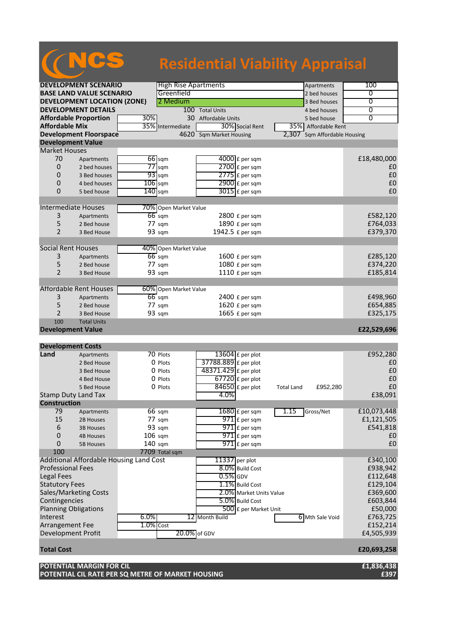| 100<br><b>DEVELOPMENT SCENARIO</b><br><b>High Rise Apartments</b><br>Apartments<br>Greenfield<br><b>BASE LAND VALUE SCENARIO</b><br>0<br>2 bed houses<br><b>DEVELOPMENT LOCATION (ZONE)</b><br>2 Medium<br>0<br>3 Bed houses<br><b>DEVELOPMENT DETAILS</b><br>0<br>100 Total Units<br>4 bed houses<br><b>Affordable Proportion</b><br>30%<br>$\overline{0}$<br>30 Affordable Units<br>5 bed house<br><b>Affordable Mix</b><br>35% Intermediate<br>30% Social Rent<br>35% Affordable Rent<br><b>Development Floorspace</b><br>4620 Sqm Market Housing<br>2,307<br>Sqm Affordable Housing<br><b>Development Value</b><br><b>Market Houses</b><br>70<br>$66$ sqm<br>£18,480,000<br>$4000$ £ per sqm<br>Apartments<br>$77$ sqm<br>$\mathbf{0}$<br>$2700$ £ per sqm<br>£0<br>2 bed houses<br>$93$ sqm<br>£0<br>0<br>$2775$ $E$ per sqm<br>3 Bed houses<br>$106$ sqm<br>2900 £ per sqm<br>£0<br>0<br>4 bed houses<br>$140$ sqm<br>£0<br>$\Omega$<br>$3015$ £ per sqm<br>5 bed house<br><b>Intermediate Houses</b><br>70% Open Market Value<br>3<br>$66$ sqm<br>£582,120<br>2800 £ per sqm<br>Apartments<br>5<br>77 sqm<br>1890 £ per sqm<br>£764,033<br>2 Bed house<br>$\overline{2}$<br>1942.5 £ per sqm<br>93 sqm<br>£379,370<br>3 Bed House<br><b>Social Rent Houses</b><br>40% Open Market Value<br>3<br>$66$ sqm<br>1600 £ per sqm<br>£285,120<br>Apartments<br>5<br>£374,220<br>77 sqm<br>1080 £ per sqm<br>2 Bed house<br>$\overline{2}$<br>93 sqm<br>1110 £ per sqm<br>£185,814<br>3 Bed House<br><b>Affordable Rent Houses</b><br>60% Open Market Value<br>$66$ sqm<br>£498,960<br>3<br>$2400$ £ per sqm<br>Apartments<br>5<br>1620 £ per sqm<br>£654,885<br>$77 \text{ sqm}$<br>2 Bed house<br>$\overline{2}$<br>£325,175<br>93 sqm<br>1665 £ per sqm<br>3 Bed House<br>100<br><b>Total Units</b><br><b>Development Value</b><br>£22,529,696<br><b>Development Costs</b><br>Land<br>70 Plots<br>13604 £ per plot<br>£952,280<br>Apartments<br>37788.889 £ per plot<br>0 Plots<br>£0<br>2 Bed House<br>48371.429 £ per plot<br>£0<br>0 Plots<br>3 Bed House<br>$67720$ £ per plot<br>£0<br>0 Plots<br>4 Bed House<br>$\overline{84650}$ £ per plot<br>£0<br>0 Plots<br>5 Bed House<br>£952,280<br><b>Total Land</b><br>4.0%<br><b>Stamp Duty Land Tax</b><br>£38,091<br><b>Construction</b><br>79<br>$66 \text{ sqm}$<br>$1680$ £ per sqm<br>1.15<br>Gross/Net<br>£10,073,448<br>Apartments<br>15<br>77 sqm<br>$971$ $E$ per sqm<br>£1,121,505<br>2B Houses<br>6<br>93 sqm<br>$971$ $E$ per sqm<br>£541,818<br><b>3B Houses</b><br>$\mathbf 0$<br>$106$ sqm<br>$971$ $E$ per sqm<br>£0<br><b>4B Houses</b><br>$971$ $E$ per sqm<br>£0<br>0<br>$140$ sqm<br><b>5B Houses</b><br>100<br>7709 Total sqm<br>Additional Affordable Housing Land Cost<br>11337 per plot<br>£340,100<br>8.0% Build Cost<br><b>Professional Fees</b><br>£938,942<br><b>Legal Fees</b><br>$0.5%$ GDV<br>£112,648<br>1.1% Build Cost<br><b>Statutory Fees</b><br>£129,104<br>Sales/Marketing Costs<br>2.0% Market Units Value<br>£369,600<br>Contingencies<br>5.0% Build Cost<br>£603,844<br>500 £ per Market Unit<br><b>Planning Obligations</b><br>£50,000<br>Interest<br>6.0%<br>12 Month Build<br>£763,725<br>6 Mth Sale Void<br>$1.0\%$ Cost<br>Arrangement Fee<br>£152,214<br>20.0% of GDV<br><b>Development Profit</b><br>£4,505,939<br><b>Total Cost</b><br>£20,693,258 |  | <b>Residential Viability Appraisal</b> |
|----------------------------------------------------------------------------------------------------------------------------------------------------------------------------------------------------------------------------------------------------------------------------------------------------------------------------------------------------------------------------------------------------------------------------------------------------------------------------------------------------------------------------------------------------------------------------------------------------------------------------------------------------------------------------------------------------------------------------------------------------------------------------------------------------------------------------------------------------------------------------------------------------------------------------------------------------------------------------------------------------------------------------------------------------------------------------------------------------------------------------------------------------------------------------------------------------------------------------------------------------------------------------------------------------------------------------------------------------------------------------------------------------------------------------------------------------------------------------------------------------------------------------------------------------------------------------------------------------------------------------------------------------------------------------------------------------------------------------------------------------------------------------------------------------------------------------------------------------------------------------------------------------------------------------------------------------------------------------------------------------------------------------------------------------------------------------------------------------------------------------------------------------------------------------------------------------------------------------------------------------------------------------------------------------------------------------------------------------------------------------------------------------------------------------------------------------------------------------------------------------------------------------------------------------------------------------------------------------------------------------------------------------------------------------------------------------------------------------------------------------------------------------------------------------------------------------------------------------------------------------------------------------------------------------------------------------------------------------------------------------------------------------------------------------------------------------------------------------------------------------------------------------------------------------------------------------------------------------------------------------------------------------------------------------------------------------------------------------------|--|----------------------------------------|
|                                                                                                                                                                                                                                                                                                                                                                                                                                                                                                                                                                                                                                                                                                                                                                                                                                                                                                                                                                                                                                                                                                                                                                                                                                                                                                                                                                                                                                                                                                                                                                                                                                                                                                                                                                                                                                                                                                                                                                                                                                                                                                                                                                                                                                                                                                                                                                                                                                                                                                                                                                                                                                                                                                                                                                                                                                                                                                                                                                                                                                                                                                                                                                                                                                                                                                                                                          |  |                                        |
|                                                                                                                                                                                                                                                                                                                                                                                                                                                                                                                                                                                                                                                                                                                                                                                                                                                                                                                                                                                                                                                                                                                                                                                                                                                                                                                                                                                                                                                                                                                                                                                                                                                                                                                                                                                                                                                                                                                                                                                                                                                                                                                                                                                                                                                                                                                                                                                                                                                                                                                                                                                                                                                                                                                                                                                                                                                                                                                                                                                                                                                                                                                                                                                                                                                                                                                                                          |  |                                        |
|                                                                                                                                                                                                                                                                                                                                                                                                                                                                                                                                                                                                                                                                                                                                                                                                                                                                                                                                                                                                                                                                                                                                                                                                                                                                                                                                                                                                                                                                                                                                                                                                                                                                                                                                                                                                                                                                                                                                                                                                                                                                                                                                                                                                                                                                                                                                                                                                                                                                                                                                                                                                                                                                                                                                                                                                                                                                                                                                                                                                                                                                                                                                                                                                                                                                                                                                                          |  |                                        |
|                                                                                                                                                                                                                                                                                                                                                                                                                                                                                                                                                                                                                                                                                                                                                                                                                                                                                                                                                                                                                                                                                                                                                                                                                                                                                                                                                                                                                                                                                                                                                                                                                                                                                                                                                                                                                                                                                                                                                                                                                                                                                                                                                                                                                                                                                                                                                                                                                                                                                                                                                                                                                                                                                                                                                                                                                                                                                                                                                                                                                                                                                                                                                                                                                                                                                                                                                          |  |                                        |
|                                                                                                                                                                                                                                                                                                                                                                                                                                                                                                                                                                                                                                                                                                                                                                                                                                                                                                                                                                                                                                                                                                                                                                                                                                                                                                                                                                                                                                                                                                                                                                                                                                                                                                                                                                                                                                                                                                                                                                                                                                                                                                                                                                                                                                                                                                                                                                                                                                                                                                                                                                                                                                                                                                                                                                                                                                                                                                                                                                                                                                                                                                                                                                                                                                                                                                                                                          |  |                                        |
|                                                                                                                                                                                                                                                                                                                                                                                                                                                                                                                                                                                                                                                                                                                                                                                                                                                                                                                                                                                                                                                                                                                                                                                                                                                                                                                                                                                                                                                                                                                                                                                                                                                                                                                                                                                                                                                                                                                                                                                                                                                                                                                                                                                                                                                                                                                                                                                                                                                                                                                                                                                                                                                                                                                                                                                                                                                                                                                                                                                                                                                                                                                                                                                                                                                                                                                                                          |  |                                        |
|                                                                                                                                                                                                                                                                                                                                                                                                                                                                                                                                                                                                                                                                                                                                                                                                                                                                                                                                                                                                                                                                                                                                                                                                                                                                                                                                                                                                                                                                                                                                                                                                                                                                                                                                                                                                                                                                                                                                                                                                                                                                                                                                                                                                                                                                                                                                                                                                                                                                                                                                                                                                                                                                                                                                                                                                                                                                                                                                                                                                                                                                                                                                                                                                                                                                                                                                                          |  |                                        |
|                                                                                                                                                                                                                                                                                                                                                                                                                                                                                                                                                                                                                                                                                                                                                                                                                                                                                                                                                                                                                                                                                                                                                                                                                                                                                                                                                                                                                                                                                                                                                                                                                                                                                                                                                                                                                                                                                                                                                                                                                                                                                                                                                                                                                                                                                                                                                                                                                                                                                                                                                                                                                                                                                                                                                                                                                                                                                                                                                                                                                                                                                                                                                                                                                                                                                                                                                          |  |                                        |
|                                                                                                                                                                                                                                                                                                                                                                                                                                                                                                                                                                                                                                                                                                                                                                                                                                                                                                                                                                                                                                                                                                                                                                                                                                                                                                                                                                                                                                                                                                                                                                                                                                                                                                                                                                                                                                                                                                                                                                                                                                                                                                                                                                                                                                                                                                                                                                                                                                                                                                                                                                                                                                                                                                                                                                                                                                                                                                                                                                                                                                                                                                                                                                                                                                                                                                                                                          |  |                                        |
|                                                                                                                                                                                                                                                                                                                                                                                                                                                                                                                                                                                                                                                                                                                                                                                                                                                                                                                                                                                                                                                                                                                                                                                                                                                                                                                                                                                                                                                                                                                                                                                                                                                                                                                                                                                                                                                                                                                                                                                                                                                                                                                                                                                                                                                                                                                                                                                                                                                                                                                                                                                                                                                                                                                                                                                                                                                                                                                                                                                                                                                                                                                                                                                                                                                                                                                                                          |  |                                        |
|                                                                                                                                                                                                                                                                                                                                                                                                                                                                                                                                                                                                                                                                                                                                                                                                                                                                                                                                                                                                                                                                                                                                                                                                                                                                                                                                                                                                                                                                                                                                                                                                                                                                                                                                                                                                                                                                                                                                                                                                                                                                                                                                                                                                                                                                                                                                                                                                                                                                                                                                                                                                                                                                                                                                                                                                                                                                                                                                                                                                                                                                                                                                                                                                                                                                                                                                                          |  |                                        |
|                                                                                                                                                                                                                                                                                                                                                                                                                                                                                                                                                                                                                                                                                                                                                                                                                                                                                                                                                                                                                                                                                                                                                                                                                                                                                                                                                                                                                                                                                                                                                                                                                                                                                                                                                                                                                                                                                                                                                                                                                                                                                                                                                                                                                                                                                                                                                                                                                                                                                                                                                                                                                                                                                                                                                                                                                                                                                                                                                                                                                                                                                                                                                                                                                                                                                                                                                          |  |                                        |
|                                                                                                                                                                                                                                                                                                                                                                                                                                                                                                                                                                                                                                                                                                                                                                                                                                                                                                                                                                                                                                                                                                                                                                                                                                                                                                                                                                                                                                                                                                                                                                                                                                                                                                                                                                                                                                                                                                                                                                                                                                                                                                                                                                                                                                                                                                                                                                                                                                                                                                                                                                                                                                                                                                                                                                                                                                                                                                                                                                                                                                                                                                                                                                                                                                                                                                                                                          |  |                                        |
|                                                                                                                                                                                                                                                                                                                                                                                                                                                                                                                                                                                                                                                                                                                                                                                                                                                                                                                                                                                                                                                                                                                                                                                                                                                                                                                                                                                                                                                                                                                                                                                                                                                                                                                                                                                                                                                                                                                                                                                                                                                                                                                                                                                                                                                                                                                                                                                                                                                                                                                                                                                                                                                                                                                                                                                                                                                                                                                                                                                                                                                                                                                                                                                                                                                                                                                                                          |  |                                        |
|                                                                                                                                                                                                                                                                                                                                                                                                                                                                                                                                                                                                                                                                                                                                                                                                                                                                                                                                                                                                                                                                                                                                                                                                                                                                                                                                                                                                                                                                                                                                                                                                                                                                                                                                                                                                                                                                                                                                                                                                                                                                                                                                                                                                                                                                                                                                                                                                                                                                                                                                                                                                                                                                                                                                                                                                                                                                                                                                                                                                                                                                                                                                                                                                                                                                                                                                                          |  |                                        |
|                                                                                                                                                                                                                                                                                                                                                                                                                                                                                                                                                                                                                                                                                                                                                                                                                                                                                                                                                                                                                                                                                                                                                                                                                                                                                                                                                                                                                                                                                                                                                                                                                                                                                                                                                                                                                                                                                                                                                                                                                                                                                                                                                                                                                                                                                                                                                                                                                                                                                                                                                                                                                                                                                                                                                                                                                                                                                                                                                                                                                                                                                                                                                                                                                                                                                                                                                          |  |                                        |
|                                                                                                                                                                                                                                                                                                                                                                                                                                                                                                                                                                                                                                                                                                                                                                                                                                                                                                                                                                                                                                                                                                                                                                                                                                                                                                                                                                                                                                                                                                                                                                                                                                                                                                                                                                                                                                                                                                                                                                                                                                                                                                                                                                                                                                                                                                                                                                                                                                                                                                                                                                                                                                                                                                                                                                                                                                                                                                                                                                                                                                                                                                                                                                                                                                                                                                                                                          |  |                                        |
|                                                                                                                                                                                                                                                                                                                                                                                                                                                                                                                                                                                                                                                                                                                                                                                                                                                                                                                                                                                                                                                                                                                                                                                                                                                                                                                                                                                                                                                                                                                                                                                                                                                                                                                                                                                                                                                                                                                                                                                                                                                                                                                                                                                                                                                                                                                                                                                                                                                                                                                                                                                                                                                                                                                                                                                                                                                                                                                                                                                                                                                                                                                                                                                                                                                                                                                                                          |  |                                        |
|                                                                                                                                                                                                                                                                                                                                                                                                                                                                                                                                                                                                                                                                                                                                                                                                                                                                                                                                                                                                                                                                                                                                                                                                                                                                                                                                                                                                                                                                                                                                                                                                                                                                                                                                                                                                                                                                                                                                                                                                                                                                                                                                                                                                                                                                                                                                                                                                                                                                                                                                                                                                                                                                                                                                                                                                                                                                                                                                                                                                                                                                                                                                                                                                                                                                                                                                                          |  |                                        |
|                                                                                                                                                                                                                                                                                                                                                                                                                                                                                                                                                                                                                                                                                                                                                                                                                                                                                                                                                                                                                                                                                                                                                                                                                                                                                                                                                                                                                                                                                                                                                                                                                                                                                                                                                                                                                                                                                                                                                                                                                                                                                                                                                                                                                                                                                                                                                                                                                                                                                                                                                                                                                                                                                                                                                                                                                                                                                                                                                                                                                                                                                                                                                                                                                                                                                                                                                          |  |                                        |
|                                                                                                                                                                                                                                                                                                                                                                                                                                                                                                                                                                                                                                                                                                                                                                                                                                                                                                                                                                                                                                                                                                                                                                                                                                                                                                                                                                                                                                                                                                                                                                                                                                                                                                                                                                                                                                                                                                                                                                                                                                                                                                                                                                                                                                                                                                                                                                                                                                                                                                                                                                                                                                                                                                                                                                                                                                                                                                                                                                                                                                                                                                                                                                                                                                                                                                                                                          |  |                                        |
|                                                                                                                                                                                                                                                                                                                                                                                                                                                                                                                                                                                                                                                                                                                                                                                                                                                                                                                                                                                                                                                                                                                                                                                                                                                                                                                                                                                                                                                                                                                                                                                                                                                                                                                                                                                                                                                                                                                                                                                                                                                                                                                                                                                                                                                                                                                                                                                                                                                                                                                                                                                                                                                                                                                                                                                                                                                                                                                                                                                                                                                                                                                                                                                                                                                                                                                                                          |  |                                        |
|                                                                                                                                                                                                                                                                                                                                                                                                                                                                                                                                                                                                                                                                                                                                                                                                                                                                                                                                                                                                                                                                                                                                                                                                                                                                                                                                                                                                                                                                                                                                                                                                                                                                                                                                                                                                                                                                                                                                                                                                                                                                                                                                                                                                                                                                                                                                                                                                                                                                                                                                                                                                                                                                                                                                                                                                                                                                                                                                                                                                                                                                                                                                                                                                                                                                                                                                                          |  |                                        |
|                                                                                                                                                                                                                                                                                                                                                                                                                                                                                                                                                                                                                                                                                                                                                                                                                                                                                                                                                                                                                                                                                                                                                                                                                                                                                                                                                                                                                                                                                                                                                                                                                                                                                                                                                                                                                                                                                                                                                                                                                                                                                                                                                                                                                                                                                                                                                                                                                                                                                                                                                                                                                                                                                                                                                                                                                                                                                                                                                                                                                                                                                                                                                                                                                                                                                                                                                          |  |                                        |
|                                                                                                                                                                                                                                                                                                                                                                                                                                                                                                                                                                                                                                                                                                                                                                                                                                                                                                                                                                                                                                                                                                                                                                                                                                                                                                                                                                                                                                                                                                                                                                                                                                                                                                                                                                                                                                                                                                                                                                                                                                                                                                                                                                                                                                                                                                                                                                                                                                                                                                                                                                                                                                                                                                                                                                                                                                                                                                                                                                                                                                                                                                                                                                                                                                                                                                                                                          |  |                                        |
|                                                                                                                                                                                                                                                                                                                                                                                                                                                                                                                                                                                                                                                                                                                                                                                                                                                                                                                                                                                                                                                                                                                                                                                                                                                                                                                                                                                                                                                                                                                                                                                                                                                                                                                                                                                                                                                                                                                                                                                                                                                                                                                                                                                                                                                                                                                                                                                                                                                                                                                                                                                                                                                                                                                                                                                                                                                                                                                                                                                                                                                                                                                                                                                                                                                                                                                                                          |  |                                        |
|                                                                                                                                                                                                                                                                                                                                                                                                                                                                                                                                                                                                                                                                                                                                                                                                                                                                                                                                                                                                                                                                                                                                                                                                                                                                                                                                                                                                                                                                                                                                                                                                                                                                                                                                                                                                                                                                                                                                                                                                                                                                                                                                                                                                                                                                                                                                                                                                                                                                                                                                                                                                                                                                                                                                                                                                                                                                                                                                                                                                                                                                                                                                                                                                                                                                                                                                                          |  |                                        |
|                                                                                                                                                                                                                                                                                                                                                                                                                                                                                                                                                                                                                                                                                                                                                                                                                                                                                                                                                                                                                                                                                                                                                                                                                                                                                                                                                                                                                                                                                                                                                                                                                                                                                                                                                                                                                                                                                                                                                                                                                                                                                                                                                                                                                                                                                                                                                                                                                                                                                                                                                                                                                                                                                                                                                                                                                                                                                                                                                                                                                                                                                                                                                                                                                                                                                                                                                          |  |                                        |
|                                                                                                                                                                                                                                                                                                                                                                                                                                                                                                                                                                                                                                                                                                                                                                                                                                                                                                                                                                                                                                                                                                                                                                                                                                                                                                                                                                                                                                                                                                                                                                                                                                                                                                                                                                                                                                                                                                                                                                                                                                                                                                                                                                                                                                                                                                                                                                                                                                                                                                                                                                                                                                                                                                                                                                                                                                                                                                                                                                                                                                                                                                                                                                                                                                                                                                                                                          |  |                                        |
|                                                                                                                                                                                                                                                                                                                                                                                                                                                                                                                                                                                                                                                                                                                                                                                                                                                                                                                                                                                                                                                                                                                                                                                                                                                                                                                                                                                                                                                                                                                                                                                                                                                                                                                                                                                                                                                                                                                                                                                                                                                                                                                                                                                                                                                                                                                                                                                                                                                                                                                                                                                                                                                                                                                                                                                                                                                                                                                                                                                                                                                                                                                                                                                                                                                                                                                                                          |  |                                        |
|                                                                                                                                                                                                                                                                                                                                                                                                                                                                                                                                                                                                                                                                                                                                                                                                                                                                                                                                                                                                                                                                                                                                                                                                                                                                                                                                                                                                                                                                                                                                                                                                                                                                                                                                                                                                                                                                                                                                                                                                                                                                                                                                                                                                                                                                                                                                                                                                                                                                                                                                                                                                                                                                                                                                                                                                                                                                                                                                                                                                                                                                                                                                                                                                                                                                                                                                                          |  |                                        |
|                                                                                                                                                                                                                                                                                                                                                                                                                                                                                                                                                                                                                                                                                                                                                                                                                                                                                                                                                                                                                                                                                                                                                                                                                                                                                                                                                                                                                                                                                                                                                                                                                                                                                                                                                                                                                                                                                                                                                                                                                                                                                                                                                                                                                                                                                                                                                                                                                                                                                                                                                                                                                                                                                                                                                                                                                                                                                                                                                                                                                                                                                                                                                                                                                                                                                                                                                          |  |                                        |
|                                                                                                                                                                                                                                                                                                                                                                                                                                                                                                                                                                                                                                                                                                                                                                                                                                                                                                                                                                                                                                                                                                                                                                                                                                                                                                                                                                                                                                                                                                                                                                                                                                                                                                                                                                                                                                                                                                                                                                                                                                                                                                                                                                                                                                                                                                                                                                                                                                                                                                                                                                                                                                                                                                                                                                                                                                                                                                                                                                                                                                                                                                                                                                                                                                                                                                                                                          |  |                                        |
|                                                                                                                                                                                                                                                                                                                                                                                                                                                                                                                                                                                                                                                                                                                                                                                                                                                                                                                                                                                                                                                                                                                                                                                                                                                                                                                                                                                                                                                                                                                                                                                                                                                                                                                                                                                                                                                                                                                                                                                                                                                                                                                                                                                                                                                                                                                                                                                                                                                                                                                                                                                                                                                                                                                                                                                                                                                                                                                                                                                                                                                                                                                                                                                                                                                                                                                                                          |  |                                        |
|                                                                                                                                                                                                                                                                                                                                                                                                                                                                                                                                                                                                                                                                                                                                                                                                                                                                                                                                                                                                                                                                                                                                                                                                                                                                                                                                                                                                                                                                                                                                                                                                                                                                                                                                                                                                                                                                                                                                                                                                                                                                                                                                                                                                                                                                                                                                                                                                                                                                                                                                                                                                                                                                                                                                                                                                                                                                                                                                                                                                                                                                                                                                                                                                                                                                                                                                                          |  |                                        |
|                                                                                                                                                                                                                                                                                                                                                                                                                                                                                                                                                                                                                                                                                                                                                                                                                                                                                                                                                                                                                                                                                                                                                                                                                                                                                                                                                                                                                                                                                                                                                                                                                                                                                                                                                                                                                                                                                                                                                                                                                                                                                                                                                                                                                                                                                                                                                                                                                                                                                                                                                                                                                                                                                                                                                                                                                                                                                                                                                                                                                                                                                                                                                                                                                                                                                                                                                          |  |                                        |
|                                                                                                                                                                                                                                                                                                                                                                                                                                                                                                                                                                                                                                                                                                                                                                                                                                                                                                                                                                                                                                                                                                                                                                                                                                                                                                                                                                                                                                                                                                                                                                                                                                                                                                                                                                                                                                                                                                                                                                                                                                                                                                                                                                                                                                                                                                                                                                                                                                                                                                                                                                                                                                                                                                                                                                                                                                                                                                                                                                                                                                                                                                                                                                                                                                                                                                                                                          |  |                                        |
|                                                                                                                                                                                                                                                                                                                                                                                                                                                                                                                                                                                                                                                                                                                                                                                                                                                                                                                                                                                                                                                                                                                                                                                                                                                                                                                                                                                                                                                                                                                                                                                                                                                                                                                                                                                                                                                                                                                                                                                                                                                                                                                                                                                                                                                                                                                                                                                                                                                                                                                                                                                                                                                                                                                                                                                                                                                                                                                                                                                                                                                                                                                                                                                                                                                                                                                                                          |  |                                        |
|                                                                                                                                                                                                                                                                                                                                                                                                                                                                                                                                                                                                                                                                                                                                                                                                                                                                                                                                                                                                                                                                                                                                                                                                                                                                                                                                                                                                                                                                                                                                                                                                                                                                                                                                                                                                                                                                                                                                                                                                                                                                                                                                                                                                                                                                                                                                                                                                                                                                                                                                                                                                                                                                                                                                                                                                                                                                                                                                                                                                                                                                                                                                                                                                                                                                                                                                                          |  |                                        |
|                                                                                                                                                                                                                                                                                                                                                                                                                                                                                                                                                                                                                                                                                                                                                                                                                                                                                                                                                                                                                                                                                                                                                                                                                                                                                                                                                                                                                                                                                                                                                                                                                                                                                                                                                                                                                                                                                                                                                                                                                                                                                                                                                                                                                                                                                                                                                                                                                                                                                                                                                                                                                                                                                                                                                                                                                                                                                                                                                                                                                                                                                                                                                                                                                                                                                                                                                          |  |                                        |
|                                                                                                                                                                                                                                                                                                                                                                                                                                                                                                                                                                                                                                                                                                                                                                                                                                                                                                                                                                                                                                                                                                                                                                                                                                                                                                                                                                                                                                                                                                                                                                                                                                                                                                                                                                                                                                                                                                                                                                                                                                                                                                                                                                                                                                                                                                                                                                                                                                                                                                                                                                                                                                                                                                                                                                                                                                                                                                                                                                                                                                                                                                                                                                                                                                                                                                                                                          |  |                                        |
|                                                                                                                                                                                                                                                                                                                                                                                                                                                                                                                                                                                                                                                                                                                                                                                                                                                                                                                                                                                                                                                                                                                                                                                                                                                                                                                                                                                                                                                                                                                                                                                                                                                                                                                                                                                                                                                                                                                                                                                                                                                                                                                                                                                                                                                                                                                                                                                                                                                                                                                                                                                                                                                                                                                                                                                                                                                                                                                                                                                                                                                                                                                                                                                                                                                                                                                                                          |  |                                        |
|                                                                                                                                                                                                                                                                                                                                                                                                                                                                                                                                                                                                                                                                                                                                                                                                                                                                                                                                                                                                                                                                                                                                                                                                                                                                                                                                                                                                                                                                                                                                                                                                                                                                                                                                                                                                                                                                                                                                                                                                                                                                                                                                                                                                                                                                                                                                                                                                                                                                                                                                                                                                                                                                                                                                                                                                                                                                                                                                                                                                                                                                                                                                                                                                                                                                                                                                                          |  |                                        |
|                                                                                                                                                                                                                                                                                                                                                                                                                                                                                                                                                                                                                                                                                                                                                                                                                                                                                                                                                                                                                                                                                                                                                                                                                                                                                                                                                                                                                                                                                                                                                                                                                                                                                                                                                                                                                                                                                                                                                                                                                                                                                                                                                                                                                                                                                                                                                                                                                                                                                                                                                                                                                                                                                                                                                                                                                                                                                                                                                                                                                                                                                                                                                                                                                                                                                                                                                          |  |                                        |
|                                                                                                                                                                                                                                                                                                                                                                                                                                                                                                                                                                                                                                                                                                                                                                                                                                                                                                                                                                                                                                                                                                                                                                                                                                                                                                                                                                                                                                                                                                                                                                                                                                                                                                                                                                                                                                                                                                                                                                                                                                                                                                                                                                                                                                                                                                                                                                                                                                                                                                                                                                                                                                                                                                                                                                                                                                                                                                                                                                                                                                                                                                                                                                                                                                                                                                                                                          |  |                                        |
|                                                                                                                                                                                                                                                                                                                                                                                                                                                                                                                                                                                                                                                                                                                                                                                                                                                                                                                                                                                                                                                                                                                                                                                                                                                                                                                                                                                                                                                                                                                                                                                                                                                                                                                                                                                                                                                                                                                                                                                                                                                                                                                                                                                                                                                                                                                                                                                                                                                                                                                                                                                                                                                                                                                                                                                                                                                                                                                                                                                                                                                                                                                                                                                                                                                                                                                                                          |  |                                        |
|                                                                                                                                                                                                                                                                                                                                                                                                                                                                                                                                                                                                                                                                                                                                                                                                                                                                                                                                                                                                                                                                                                                                                                                                                                                                                                                                                                                                                                                                                                                                                                                                                                                                                                                                                                                                                                                                                                                                                                                                                                                                                                                                                                                                                                                                                                                                                                                                                                                                                                                                                                                                                                                                                                                                                                                                                                                                                                                                                                                                                                                                                                                                                                                                                                                                                                                                                          |  |                                        |
|                                                                                                                                                                                                                                                                                                                                                                                                                                                                                                                                                                                                                                                                                                                                                                                                                                                                                                                                                                                                                                                                                                                                                                                                                                                                                                                                                                                                                                                                                                                                                                                                                                                                                                                                                                                                                                                                                                                                                                                                                                                                                                                                                                                                                                                                                                                                                                                                                                                                                                                                                                                                                                                                                                                                                                                                                                                                                                                                                                                                                                                                                                                                                                                                                                                                                                                                                          |  |                                        |
|                                                                                                                                                                                                                                                                                                                                                                                                                                                                                                                                                                                                                                                                                                                                                                                                                                                                                                                                                                                                                                                                                                                                                                                                                                                                                                                                                                                                                                                                                                                                                                                                                                                                                                                                                                                                                                                                                                                                                                                                                                                                                                                                                                                                                                                                                                                                                                                                                                                                                                                                                                                                                                                                                                                                                                                                                                                                                                                                                                                                                                                                                                                                                                                                                                                                                                                                                          |  |                                        |
|                                                                                                                                                                                                                                                                                                                                                                                                                                                                                                                                                                                                                                                                                                                                                                                                                                                                                                                                                                                                                                                                                                                                                                                                                                                                                                                                                                                                                                                                                                                                                                                                                                                                                                                                                                                                                                                                                                                                                                                                                                                                                                                                                                                                                                                                                                                                                                                                                                                                                                                                                                                                                                                                                                                                                                                                                                                                                                                                                                                                                                                                                                                                                                                                                                                                                                                                                          |  |                                        |
|                                                                                                                                                                                                                                                                                                                                                                                                                                                                                                                                                                                                                                                                                                                                                                                                                                                                                                                                                                                                                                                                                                                                                                                                                                                                                                                                                                                                                                                                                                                                                                                                                                                                                                                                                                                                                                                                                                                                                                                                                                                                                                                                                                                                                                                                                                                                                                                                                                                                                                                                                                                                                                                                                                                                                                                                                                                                                                                                                                                                                                                                                                                                                                                                                                                                                                                                                          |  |                                        |
|                                                                                                                                                                                                                                                                                                                                                                                                                                                                                                                                                                                                                                                                                                                                                                                                                                                                                                                                                                                                                                                                                                                                                                                                                                                                                                                                                                                                                                                                                                                                                                                                                                                                                                                                                                                                                                                                                                                                                                                                                                                                                                                                                                                                                                                                                                                                                                                                                                                                                                                                                                                                                                                                                                                                                                                                                                                                                                                                                                                                                                                                                                                                                                                                                                                                                                                                                          |  |                                        |
|                                                                                                                                                                                                                                                                                                                                                                                                                                                                                                                                                                                                                                                                                                                                                                                                                                                                                                                                                                                                                                                                                                                                                                                                                                                                                                                                                                                                                                                                                                                                                                                                                                                                                                                                                                                                                                                                                                                                                                                                                                                                                                                                                                                                                                                                                                                                                                                                                                                                                                                                                                                                                                                                                                                                                                                                                                                                                                                                                                                                                                                                                                                                                                                                                                                                                                                                                          |  |                                        |
|                                                                                                                                                                                                                                                                                                                                                                                                                                                                                                                                                                                                                                                                                                                                                                                                                                                                                                                                                                                                                                                                                                                                                                                                                                                                                                                                                                                                                                                                                                                                                                                                                                                                                                                                                                                                                                                                                                                                                                                                                                                                                                                                                                                                                                                                                                                                                                                                                                                                                                                                                                                                                                                                                                                                                                                                                                                                                                                                                                                                                                                                                                                                                                                                                                                                                                                                                          |  |                                        |
|                                                                                                                                                                                                                                                                                                                                                                                                                                                                                                                                                                                                                                                                                                                                                                                                                                                                                                                                                                                                                                                                                                                                                                                                                                                                                                                                                                                                                                                                                                                                                                                                                                                                                                                                                                                                                                                                                                                                                                                                                                                                                                                                                                                                                                                                                                                                                                                                                                                                                                                                                                                                                                                                                                                                                                                                                                                                                                                                                                                                                                                                                                                                                                                                                                                                                                                                                          |  |                                        |
|                                                                                                                                                                                                                                                                                                                                                                                                                                                                                                                                                                                                                                                                                                                                                                                                                                                                                                                                                                                                                                                                                                                                                                                                                                                                                                                                                                                                                                                                                                                                                                                                                                                                                                                                                                                                                                                                                                                                                                                                                                                                                                                                                                                                                                                                                                                                                                                                                                                                                                                                                                                                                                                                                                                                                                                                                                                                                                                                                                                                                                                                                                                                                                                                                                                                                                                                                          |  |                                        |

**POTENTIAL MARGIN FOR CIL £1,836,438 POTENTIAL CIL RATE PER SQ METRE OF MARKET HOUSING £397**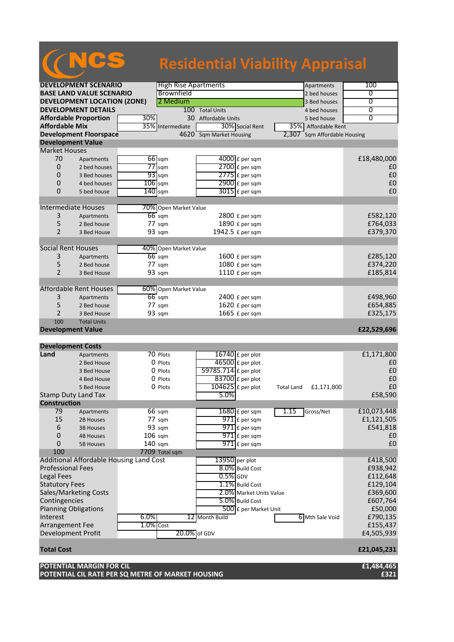| <b>Residential Viability Appraisal</b><br>100<br><b>DEVELOPMENT SCENARIO</b><br><b>High Rise Apartments</b><br>Apartments<br>Brownfield<br><b>BASE LAND VALUE SCENARIO</b><br>0<br>2 bed houses<br><b>DEVELOPMENT LOCATION (ZONE)</b><br>2 Medium<br>$\overline{0}$<br>3 Bed houses<br><b>DEVELOPMENT DETAILS</b><br>100 Total Units<br>0<br>4 bed houses<br><b>Affordable Proportion</b><br>30%<br>$\overline{0}$<br>30 Affordable Units<br>5 bed house<br><b>Affordable Mix</b><br>35% Intermediate<br>30% Social Rent<br>35% Affordable Rent<br><b>Development Floorspace</b><br>4620<br>2,307<br>Sqm Affordable Housing<br><b>Sqm Market Housing</b><br><b>Development Value</b><br><b>Market Houses</b><br>70<br>$66$ sqm<br>£18,480,000<br>$4000$ £ per sqm<br>Apartments<br>0<br>$77$ sqm<br>2700 £ per sqm<br>£0<br>2 bed houses<br>$93$ sqm<br>£0<br>0<br>$2775$ $E$ per sqm<br>3 Bed houses<br>£0<br>0<br>$106$ sqm<br>2900 £ per sqm<br>4 bed houses<br>£0<br>$\Omega$<br>$140$ sqm<br>$3015$ £ per sqm<br>5 bed house<br><b>Intermediate Houses</b><br>70% Open Market Value<br>3<br>$66$ sqm<br>£582,120<br>2800 £ per sqm<br>Apartments<br>5<br>77 sqm<br>1890 £ per sqm<br>£764,033<br>2 Bed house<br>$\overline{2}$<br>£379,370<br>93 sqm<br>1942.5 £ per sqm<br>3 Bed House<br><b>Social Rent Houses</b><br>40% Open Market Value<br>3<br>$66$ sqm<br>1600 £ per sqm<br>£285,120<br>Apartments<br>5<br>£374,220<br>77 sqm<br>1080 £ per sqm<br>2 Bed house<br>$\overline{2}$<br>93 sqm<br>1110 £ per sqm<br>£185,814<br>3 Bed House<br><b>Affordable Rent Houses</b><br>60% Open Market Value<br>$66$ sqm<br>2400 £ per sqm<br>£498,960<br>3<br>Apartments<br>5<br>1620 £ per sqm<br>£654,885<br>2 Bed house<br>$77 \text{ sqm}$<br>$\overline{2}$<br>£325,175<br>93 sqm<br>1665 £ per sqm<br>3 Bed House<br>100<br><b>Total Units</b><br><b>Development Value</b><br>£22,529,696<br><b>Development Costs</b><br>Land<br>70 Plots<br>$16740$ £ per plot<br>£1,171,800<br>Apartments<br>$46500$ £ per plot<br>0 Plots<br>£0<br>2 Bed House<br>59785.714 £ per plot<br>£0<br>0 Plots<br>3 Bed House<br>£0<br>$83700$ £ per plot<br>0 Plots<br>4 Bed House<br>$\overline{104625}$ £ per plot<br>$\pmb{\text{f0}}$<br>0 Plots<br>5 Bed House<br>Total Land £1,171,800<br>5.0%<br><b>Stamp Duty Land Tax</b><br>£58,590<br><b>Construction</b><br>79<br>$1680$ £ per sqm<br>1.15<br>Gross/Net<br>£10,073,448<br>66 sqm<br>Apartments<br>15<br>$971$ $E$ per sqm<br>77 sqm<br>£1,121,505<br>2B Houses<br>6<br>93 sqm<br>$971$ $E$ per sqm<br>£541,818<br><b>3B Houses</b><br>$\mathbf 0$<br>$106$ sqm<br>$971$ $E$ per sqm<br>£0<br><b>4B Houses</b><br>$971$ $E$ per sqm<br>£0<br>0<br>$140$ sqm<br><b>5B Houses</b><br>100<br>7709 Total sqm<br>Additional Affordable Housing Land Cost<br>$13950$ per plot<br>£418,500<br>8.0% Build Cost<br><b>Professional Fees</b><br>£938,942<br><b>Legal Fees</b><br>$0.5%$ GDV<br>£112,648<br><b>Statutory Fees</b><br>1.1% Build Cost<br>£129,104<br>Sales/Marketing Costs<br>2.0% Market Units Value<br>£369,600<br>Contingencies<br>£607,764<br>5.0% Build Cost<br><b>Planning Obligations</b><br>500 £ per Market Unit<br>£50,000<br>Interest<br>£790,135<br>6.0%<br>12 Month Build<br>6 Mth Sale Void<br>$1.0\%$ Cost<br>Arrangement Fee<br>£155,437<br>Development Profit<br>20.0% of GDV<br>£4,505,939<br><b>Total Cost</b><br>£21,045,231 |  |  |  |  |  |
|-------------------------------------------------------------------------------------------------------------------------------------------------------------------------------------------------------------------------------------------------------------------------------------------------------------------------------------------------------------------------------------------------------------------------------------------------------------------------------------------------------------------------------------------------------------------------------------------------------------------------------------------------------------------------------------------------------------------------------------------------------------------------------------------------------------------------------------------------------------------------------------------------------------------------------------------------------------------------------------------------------------------------------------------------------------------------------------------------------------------------------------------------------------------------------------------------------------------------------------------------------------------------------------------------------------------------------------------------------------------------------------------------------------------------------------------------------------------------------------------------------------------------------------------------------------------------------------------------------------------------------------------------------------------------------------------------------------------------------------------------------------------------------------------------------------------------------------------------------------------------------------------------------------------------------------------------------------------------------------------------------------------------------------------------------------------------------------------------------------------------------------------------------------------------------------------------------------------------------------------------------------------------------------------------------------------------------------------------------------------------------------------------------------------------------------------------------------------------------------------------------------------------------------------------------------------------------------------------------------------------------------------------------------------------------------------------------------------------------------------------------------------------------------------------------------------------------------------------------------------------------------------------------------------------------------------------------------------------------------------------------------------------------------------------------------------------------------------------------------------------------------------------------------------------------------------------------------------------------------------------------------------------------------------------------------------------------------------------------------------------------------------------------|--|--|--|--|--|
|                                                                                                                                                                                                                                                                                                                                                                                                                                                                                                                                                                                                                                                                                                                                                                                                                                                                                                                                                                                                                                                                                                                                                                                                                                                                                                                                                                                                                                                                                                                                                                                                                                                                                                                                                                                                                                                                                                                                                                                                                                                                                                                                                                                                                                                                                                                                                                                                                                                                                                                                                                                                                                                                                                                                                                                                                                                                                                                                                                                                                                                                                                                                                                                                                                                                                                                                                                                                       |  |  |  |  |  |
|                                                                                                                                                                                                                                                                                                                                                                                                                                                                                                                                                                                                                                                                                                                                                                                                                                                                                                                                                                                                                                                                                                                                                                                                                                                                                                                                                                                                                                                                                                                                                                                                                                                                                                                                                                                                                                                                                                                                                                                                                                                                                                                                                                                                                                                                                                                                                                                                                                                                                                                                                                                                                                                                                                                                                                                                                                                                                                                                                                                                                                                                                                                                                                                                                                                                                                                                                                                                       |  |  |  |  |  |
|                                                                                                                                                                                                                                                                                                                                                                                                                                                                                                                                                                                                                                                                                                                                                                                                                                                                                                                                                                                                                                                                                                                                                                                                                                                                                                                                                                                                                                                                                                                                                                                                                                                                                                                                                                                                                                                                                                                                                                                                                                                                                                                                                                                                                                                                                                                                                                                                                                                                                                                                                                                                                                                                                                                                                                                                                                                                                                                                                                                                                                                                                                                                                                                                                                                                                                                                                                                                       |  |  |  |  |  |
|                                                                                                                                                                                                                                                                                                                                                                                                                                                                                                                                                                                                                                                                                                                                                                                                                                                                                                                                                                                                                                                                                                                                                                                                                                                                                                                                                                                                                                                                                                                                                                                                                                                                                                                                                                                                                                                                                                                                                                                                                                                                                                                                                                                                                                                                                                                                                                                                                                                                                                                                                                                                                                                                                                                                                                                                                                                                                                                                                                                                                                                                                                                                                                                                                                                                                                                                                                                                       |  |  |  |  |  |
|                                                                                                                                                                                                                                                                                                                                                                                                                                                                                                                                                                                                                                                                                                                                                                                                                                                                                                                                                                                                                                                                                                                                                                                                                                                                                                                                                                                                                                                                                                                                                                                                                                                                                                                                                                                                                                                                                                                                                                                                                                                                                                                                                                                                                                                                                                                                                                                                                                                                                                                                                                                                                                                                                                                                                                                                                                                                                                                                                                                                                                                                                                                                                                                                                                                                                                                                                                                                       |  |  |  |  |  |
|                                                                                                                                                                                                                                                                                                                                                                                                                                                                                                                                                                                                                                                                                                                                                                                                                                                                                                                                                                                                                                                                                                                                                                                                                                                                                                                                                                                                                                                                                                                                                                                                                                                                                                                                                                                                                                                                                                                                                                                                                                                                                                                                                                                                                                                                                                                                                                                                                                                                                                                                                                                                                                                                                                                                                                                                                                                                                                                                                                                                                                                                                                                                                                                                                                                                                                                                                                                                       |  |  |  |  |  |
|                                                                                                                                                                                                                                                                                                                                                                                                                                                                                                                                                                                                                                                                                                                                                                                                                                                                                                                                                                                                                                                                                                                                                                                                                                                                                                                                                                                                                                                                                                                                                                                                                                                                                                                                                                                                                                                                                                                                                                                                                                                                                                                                                                                                                                                                                                                                                                                                                                                                                                                                                                                                                                                                                                                                                                                                                                                                                                                                                                                                                                                                                                                                                                                                                                                                                                                                                                                                       |  |  |  |  |  |
|                                                                                                                                                                                                                                                                                                                                                                                                                                                                                                                                                                                                                                                                                                                                                                                                                                                                                                                                                                                                                                                                                                                                                                                                                                                                                                                                                                                                                                                                                                                                                                                                                                                                                                                                                                                                                                                                                                                                                                                                                                                                                                                                                                                                                                                                                                                                                                                                                                                                                                                                                                                                                                                                                                                                                                                                                                                                                                                                                                                                                                                                                                                                                                                                                                                                                                                                                                                                       |  |  |  |  |  |
|                                                                                                                                                                                                                                                                                                                                                                                                                                                                                                                                                                                                                                                                                                                                                                                                                                                                                                                                                                                                                                                                                                                                                                                                                                                                                                                                                                                                                                                                                                                                                                                                                                                                                                                                                                                                                                                                                                                                                                                                                                                                                                                                                                                                                                                                                                                                                                                                                                                                                                                                                                                                                                                                                                                                                                                                                                                                                                                                                                                                                                                                                                                                                                                                                                                                                                                                                                                                       |  |  |  |  |  |
|                                                                                                                                                                                                                                                                                                                                                                                                                                                                                                                                                                                                                                                                                                                                                                                                                                                                                                                                                                                                                                                                                                                                                                                                                                                                                                                                                                                                                                                                                                                                                                                                                                                                                                                                                                                                                                                                                                                                                                                                                                                                                                                                                                                                                                                                                                                                                                                                                                                                                                                                                                                                                                                                                                                                                                                                                                                                                                                                                                                                                                                                                                                                                                                                                                                                                                                                                                                                       |  |  |  |  |  |
|                                                                                                                                                                                                                                                                                                                                                                                                                                                                                                                                                                                                                                                                                                                                                                                                                                                                                                                                                                                                                                                                                                                                                                                                                                                                                                                                                                                                                                                                                                                                                                                                                                                                                                                                                                                                                                                                                                                                                                                                                                                                                                                                                                                                                                                                                                                                                                                                                                                                                                                                                                                                                                                                                                                                                                                                                                                                                                                                                                                                                                                                                                                                                                                                                                                                                                                                                                                                       |  |  |  |  |  |
|                                                                                                                                                                                                                                                                                                                                                                                                                                                                                                                                                                                                                                                                                                                                                                                                                                                                                                                                                                                                                                                                                                                                                                                                                                                                                                                                                                                                                                                                                                                                                                                                                                                                                                                                                                                                                                                                                                                                                                                                                                                                                                                                                                                                                                                                                                                                                                                                                                                                                                                                                                                                                                                                                                                                                                                                                                                                                                                                                                                                                                                                                                                                                                                                                                                                                                                                                                                                       |  |  |  |  |  |
|                                                                                                                                                                                                                                                                                                                                                                                                                                                                                                                                                                                                                                                                                                                                                                                                                                                                                                                                                                                                                                                                                                                                                                                                                                                                                                                                                                                                                                                                                                                                                                                                                                                                                                                                                                                                                                                                                                                                                                                                                                                                                                                                                                                                                                                                                                                                                                                                                                                                                                                                                                                                                                                                                                                                                                                                                                                                                                                                                                                                                                                                                                                                                                                                                                                                                                                                                                                                       |  |  |  |  |  |
|                                                                                                                                                                                                                                                                                                                                                                                                                                                                                                                                                                                                                                                                                                                                                                                                                                                                                                                                                                                                                                                                                                                                                                                                                                                                                                                                                                                                                                                                                                                                                                                                                                                                                                                                                                                                                                                                                                                                                                                                                                                                                                                                                                                                                                                                                                                                                                                                                                                                                                                                                                                                                                                                                                                                                                                                                                                                                                                                                                                                                                                                                                                                                                                                                                                                                                                                                                                                       |  |  |  |  |  |
|                                                                                                                                                                                                                                                                                                                                                                                                                                                                                                                                                                                                                                                                                                                                                                                                                                                                                                                                                                                                                                                                                                                                                                                                                                                                                                                                                                                                                                                                                                                                                                                                                                                                                                                                                                                                                                                                                                                                                                                                                                                                                                                                                                                                                                                                                                                                                                                                                                                                                                                                                                                                                                                                                                                                                                                                                                                                                                                                                                                                                                                                                                                                                                                                                                                                                                                                                                                                       |  |  |  |  |  |
|                                                                                                                                                                                                                                                                                                                                                                                                                                                                                                                                                                                                                                                                                                                                                                                                                                                                                                                                                                                                                                                                                                                                                                                                                                                                                                                                                                                                                                                                                                                                                                                                                                                                                                                                                                                                                                                                                                                                                                                                                                                                                                                                                                                                                                                                                                                                                                                                                                                                                                                                                                                                                                                                                                                                                                                                                                                                                                                                                                                                                                                                                                                                                                                                                                                                                                                                                                                                       |  |  |  |  |  |
|                                                                                                                                                                                                                                                                                                                                                                                                                                                                                                                                                                                                                                                                                                                                                                                                                                                                                                                                                                                                                                                                                                                                                                                                                                                                                                                                                                                                                                                                                                                                                                                                                                                                                                                                                                                                                                                                                                                                                                                                                                                                                                                                                                                                                                                                                                                                                                                                                                                                                                                                                                                                                                                                                                                                                                                                                                                                                                                                                                                                                                                                                                                                                                                                                                                                                                                                                                                                       |  |  |  |  |  |
|                                                                                                                                                                                                                                                                                                                                                                                                                                                                                                                                                                                                                                                                                                                                                                                                                                                                                                                                                                                                                                                                                                                                                                                                                                                                                                                                                                                                                                                                                                                                                                                                                                                                                                                                                                                                                                                                                                                                                                                                                                                                                                                                                                                                                                                                                                                                                                                                                                                                                                                                                                                                                                                                                                                                                                                                                                                                                                                                                                                                                                                                                                                                                                                                                                                                                                                                                                                                       |  |  |  |  |  |
|                                                                                                                                                                                                                                                                                                                                                                                                                                                                                                                                                                                                                                                                                                                                                                                                                                                                                                                                                                                                                                                                                                                                                                                                                                                                                                                                                                                                                                                                                                                                                                                                                                                                                                                                                                                                                                                                                                                                                                                                                                                                                                                                                                                                                                                                                                                                                                                                                                                                                                                                                                                                                                                                                                                                                                                                                                                                                                                                                                                                                                                                                                                                                                                                                                                                                                                                                                                                       |  |  |  |  |  |
|                                                                                                                                                                                                                                                                                                                                                                                                                                                                                                                                                                                                                                                                                                                                                                                                                                                                                                                                                                                                                                                                                                                                                                                                                                                                                                                                                                                                                                                                                                                                                                                                                                                                                                                                                                                                                                                                                                                                                                                                                                                                                                                                                                                                                                                                                                                                                                                                                                                                                                                                                                                                                                                                                                                                                                                                                                                                                                                                                                                                                                                                                                                                                                                                                                                                                                                                                                                                       |  |  |  |  |  |
|                                                                                                                                                                                                                                                                                                                                                                                                                                                                                                                                                                                                                                                                                                                                                                                                                                                                                                                                                                                                                                                                                                                                                                                                                                                                                                                                                                                                                                                                                                                                                                                                                                                                                                                                                                                                                                                                                                                                                                                                                                                                                                                                                                                                                                                                                                                                                                                                                                                                                                                                                                                                                                                                                                                                                                                                                                                                                                                                                                                                                                                                                                                                                                                                                                                                                                                                                                                                       |  |  |  |  |  |
|                                                                                                                                                                                                                                                                                                                                                                                                                                                                                                                                                                                                                                                                                                                                                                                                                                                                                                                                                                                                                                                                                                                                                                                                                                                                                                                                                                                                                                                                                                                                                                                                                                                                                                                                                                                                                                                                                                                                                                                                                                                                                                                                                                                                                                                                                                                                                                                                                                                                                                                                                                                                                                                                                                                                                                                                                                                                                                                                                                                                                                                                                                                                                                                                                                                                                                                                                                                                       |  |  |  |  |  |
|                                                                                                                                                                                                                                                                                                                                                                                                                                                                                                                                                                                                                                                                                                                                                                                                                                                                                                                                                                                                                                                                                                                                                                                                                                                                                                                                                                                                                                                                                                                                                                                                                                                                                                                                                                                                                                                                                                                                                                                                                                                                                                                                                                                                                                                                                                                                                                                                                                                                                                                                                                                                                                                                                                                                                                                                                                                                                                                                                                                                                                                                                                                                                                                                                                                                                                                                                                                                       |  |  |  |  |  |
|                                                                                                                                                                                                                                                                                                                                                                                                                                                                                                                                                                                                                                                                                                                                                                                                                                                                                                                                                                                                                                                                                                                                                                                                                                                                                                                                                                                                                                                                                                                                                                                                                                                                                                                                                                                                                                                                                                                                                                                                                                                                                                                                                                                                                                                                                                                                                                                                                                                                                                                                                                                                                                                                                                                                                                                                                                                                                                                                                                                                                                                                                                                                                                                                                                                                                                                                                                                                       |  |  |  |  |  |
|                                                                                                                                                                                                                                                                                                                                                                                                                                                                                                                                                                                                                                                                                                                                                                                                                                                                                                                                                                                                                                                                                                                                                                                                                                                                                                                                                                                                                                                                                                                                                                                                                                                                                                                                                                                                                                                                                                                                                                                                                                                                                                                                                                                                                                                                                                                                                                                                                                                                                                                                                                                                                                                                                                                                                                                                                                                                                                                                                                                                                                                                                                                                                                                                                                                                                                                                                                                                       |  |  |  |  |  |
|                                                                                                                                                                                                                                                                                                                                                                                                                                                                                                                                                                                                                                                                                                                                                                                                                                                                                                                                                                                                                                                                                                                                                                                                                                                                                                                                                                                                                                                                                                                                                                                                                                                                                                                                                                                                                                                                                                                                                                                                                                                                                                                                                                                                                                                                                                                                                                                                                                                                                                                                                                                                                                                                                                                                                                                                                                                                                                                                                                                                                                                                                                                                                                                                                                                                                                                                                                                                       |  |  |  |  |  |
|                                                                                                                                                                                                                                                                                                                                                                                                                                                                                                                                                                                                                                                                                                                                                                                                                                                                                                                                                                                                                                                                                                                                                                                                                                                                                                                                                                                                                                                                                                                                                                                                                                                                                                                                                                                                                                                                                                                                                                                                                                                                                                                                                                                                                                                                                                                                                                                                                                                                                                                                                                                                                                                                                                                                                                                                                                                                                                                                                                                                                                                                                                                                                                                                                                                                                                                                                                                                       |  |  |  |  |  |
|                                                                                                                                                                                                                                                                                                                                                                                                                                                                                                                                                                                                                                                                                                                                                                                                                                                                                                                                                                                                                                                                                                                                                                                                                                                                                                                                                                                                                                                                                                                                                                                                                                                                                                                                                                                                                                                                                                                                                                                                                                                                                                                                                                                                                                                                                                                                                                                                                                                                                                                                                                                                                                                                                                                                                                                                                                                                                                                                                                                                                                                                                                                                                                                                                                                                                                                                                                                                       |  |  |  |  |  |
|                                                                                                                                                                                                                                                                                                                                                                                                                                                                                                                                                                                                                                                                                                                                                                                                                                                                                                                                                                                                                                                                                                                                                                                                                                                                                                                                                                                                                                                                                                                                                                                                                                                                                                                                                                                                                                                                                                                                                                                                                                                                                                                                                                                                                                                                                                                                                                                                                                                                                                                                                                                                                                                                                                                                                                                                                                                                                                                                                                                                                                                                                                                                                                                                                                                                                                                                                                                                       |  |  |  |  |  |
|                                                                                                                                                                                                                                                                                                                                                                                                                                                                                                                                                                                                                                                                                                                                                                                                                                                                                                                                                                                                                                                                                                                                                                                                                                                                                                                                                                                                                                                                                                                                                                                                                                                                                                                                                                                                                                                                                                                                                                                                                                                                                                                                                                                                                                                                                                                                                                                                                                                                                                                                                                                                                                                                                                                                                                                                                                                                                                                                                                                                                                                                                                                                                                                                                                                                                                                                                                                                       |  |  |  |  |  |
|                                                                                                                                                                                                                                                                                                                                                                                                                                                                                                                                                                                                                                                                                                                                                                                                                                                                                                                                                                                                                                                                                                                                                                                                                                                                                                                                                                                                                                                                                                                                                                                                                                                                                                                                                                                                                                                                                                                                                                                                                                                                                                                                                                                                                                                                                                                                                                                                                                                                                                                                                                                                                                                                                                                                                                                                                                                                                                                                                                                                                                                                                                                                                                                                                                                                                                                                                                                                       |  |  |  |  |  |
|                                                                                                                                                                                                                                                                                                                                                                                                                                                                                                                                                                                                                                                                                                                                                                                                                                                                                                                                                                                                                                                                                                                                                                                                                                                                                                                                                                                                                                                                                                                                                                                                                                                                                                                                                                                                                                                                                                                                                                                                                                                                                                                                                                                                                                                                                                                                                                                                                                                                                                                                                                                                                                                                                                                                                                                                                                                                                                                                                                                                                                                                                                                                                                                                                                                                                                                                                                                                       |  |  |  |  |  |
|                                                                                                                                                                                                                                                                                                                                                                                                                                                                                                                                                                                                                                                                                                                                                                                                                                                                                                                                                                                                                                                                                                                                                                                                                                                                                                                                                                                                                                                                                                                                                                                                                                                                                                                                                                                                                                                                                                                                                                                                                                                                                                                                                                                                                                                                                                                                                                                                                                                                                                                                                                                                                                                                                                                                                                                                                                                                                                                                                                                                                                                                                                                                                                                                                                                                                                                                                                                                       |  |  |  |  |  |
|                                                                                                                                                                                                                                                                                                                                                                                                                                                                                                                                                                                                                                                                                                                                                                                                                                                                                                                                                                                                                                                                                                                                                                                                                                                                                                                                                                                                                                                                                                                                                                                                                                                                                                                                                                                                                                                                                                                                                                                                                                                                                                                                                                                                                                                                                                                                                                                                                                                                                                                                                                                                                                                                                                                                                                                                                                                                                                                                                                                                                                                                                                                                                                                                                                                                                                                                                                                                       |  |  |  |  |  |
|                                                                                                                                                                                                                                                                                                                                                                                                                                                                                                                                                                                                                                                                                                                                                                                                                                                                                                                                                                                                                                                                                                                                                                                                                                                                                                                                                                                                                                                                                                                                                                                                                                                                                                                                                                                                                                                                                                                                                                                                                                                                                                                                                                                                                                                                                                                                                                                                                                                                                                                                                                                                                                                                                                                                                                                                                                                                                                                                                                                                                                                                                                                                                                                                                                                                                                                                                                                                       |  |  |  |  |  |
|                                                                                                                                                                                                                                                                                                                                                                                                                                                                                                                                                                                                                                                                                                                                                                                                                                                                                                                                                                                                                                                                                                                                                                                                                                                                                                                                                                                                                                                                                                                                                                                                                                                                                                                                                                                                                                                                                                                                                                                                                                                                                                                                                                                                                                                                                                                                                                                                                                                                                                                                                                                                                                                                                                                                                                                                                                                                                                                                                                                                                                                                                                                                                                                                                                                                                                                                                                                                       |  |  |  |  |  |
|                                                                                                                                                                                                                                                                                                                                                                                                                                                                                                                                                                                                                                                                                                                                                                                                                                                                                                                                                                                                                                                                                                                                                                                                                                                                                                                                                                                                                                                                                                                                                                                                                                                                                                                                                                                                                                                                                                                                                                                                                                                                                                                                                                                                                                                                                                                                                                                                                                                                                                                                                                                                                                                                                                                                                                                                                                                                                                                                                                                                                                                                                                                                                                                                                                                                                                                                                                                                       |  |  |  |  |  |
|                                                                                                                                                                                                                                                                                                                                                                                                                                                                                                                                                                                                                                                                                                                                                                                                                                                                                                                                                                                                                                                                                                                                                                                                                                                                                                                                                                                                                                                                                                                                                                                                                                                                                                                                                                                                                                                                                                                                                                                                                                                                                                                                                                                                                                                                                                                                                                                                                                                                                                                                                                                                                                                                                                                                                                                                                                                                                                                                                                                                                                                                                                                                                                                                                                                                                                                                                                                                       |  |  |  |  |  |
|                                                                                                                                                                                                                                                                                                                                                                                                                                                                                                                                                                                                                                                                                                                                                                                                                                                                                                                                                                                                                                                                                                                                                                                                                                                                                                                                                                                                                                                                                                                                                                                                                                                                                                                                                                                                                                                                                                                                                                                                                                                                                                                                                                                                                                                                                                                                                                                                                                                                                                                                                                                                                                                                                                                                                                                                                                                                                                                                                                                                                                                                                                                                                                                                                                                                                                                                                                                                       |  |  |  |  |  |
|                                                                                                                                                                                                                                                                                                                                                                                                                                                                                                                                                                                                                                                                                                                                                                                                                                                                                                                                                                                                                                                                                                                                                                                                                                                                                                                                                                                                                                                                                                                                                                                                                                                                                                                                                                                                                                                                                                                                                                                                                                                                                                                                                                                                                                                                                                                                                                                                                                                                                                                                                                                                                                                                                                                                                                                                                                                                                                                                                                                                                                                                                                                                                                                                                                                                                                                                                                                                       |  |  |  |  |  |
|                                                                                                                                                                                                                                                                                                                                                                                                                                                                                                                                                                                                                                                                                                                                                                                                                                                                                                                                                                                                                                                                                                                                                                                                                                                                                                                                                                                                                                                                                                                                                                                                                                                                                                                                                                                                                                                                                                                                                                                                                                                                                                                                                                                                                                                                                                                                                                                                                                                                                                                                                                                                                                                                                                                                                                                                                                                                                                                                                                                                                                                                                                                                                                                                                                                                                                                                                                                                       |  |  |  |  |  |
|                                                                                                                                                                                                                                                                                                                                                                                                                                                                                                                                                                                                                                                                                                                                                                                                                                                                                                                                                                                                                                                                                                                                                                                                                                                                                                                                                                                                                                                                                                                                                                                                                                                                                                                                                                                                                                                                                                                                                                                                                                                                                                                                                                                                                                                                                                                                                                                                                                                                                                                                                                                                                                                                                                                                                                                                                                                                                                                                                                                                                                                                                                                                                                                                                                                                                                                                                                                                       |  |  |  |  |  |
|                                                                                                                                                                                                                                                                                                                                                                                                                                                                                                                                                                                                                                                                                                                                                                                                                                                                                                                                                                                                                                                                                                                                                                                                                                                                                                                                                                                                                                                                                                                                                                                                                                                                                                                                                                                                                                                                                                                                                                                                                                                                                                                                                                                                                                                                                                                                                                                                                                                                                                                                                                                                                                                                                                                                                                                                                                                                                                                                                                                                                                                                                                                                                                                                                                                                                                                                                                                                       |  |  |  |  |  |
|                                                                                                                                                                                                                                                                                                                                                                                                                                                                                                                                                                                                                                                                                                                                                                                                                                                                                                                                                                                                                                                                                                                                                                                                                                                                                                                                                                                                                                                                                                                                                                                                                                                                                                                                                                                                                                                                                                                                                                                                                                                                                                                                                                                                                                                                                                                                                                                                                                                                                                                                                                                                                                                                                                                                                                                                                                                                                                                                                                                                                                                                                                                                                                                                                                                                                                                                                                                                       |  |  |  |  |  |
|                                                                                                                                                                                                                                                                                                                                                                                                                                                                                                                                                                                                                                                                                                                                                                                                                                                                                                                                                                                                                                                                                                                                                                                                                                                                                                                                                                                                                                                                                                                                                                                                                                                                                                                                                                                                                                                                                                                                                                                                                                                                                                                                                                                                                                                                                                                                                                                                                                                                                                                                                                                                                                                                                                                                                                                                                                                                                                                                                                                                                                                                                                                                                                                                                                                                                                                                                                                                       |  |  |  |  |  |
|                                                                                                                                                                                                                                                                                                                                                                                                                                                                                                                                                                                                                                                                                                                                                                                                                                                                                                                                                                                                                                                                                                                                                                                                                                                                                                                                                                                                                                                                                                                                                                                                                                                                                                                                                                                                                                                                                                                                                                                                                                                                                                                                                                                                                                                                                                                                                                                                                                                                                                                                                                                                                                                                                                                                                                                                                                                                                                                                                                                                                                                                                                                                                                                                                                                                                                                                                                                                       |  |  |  |  |  |
|                                                                                                                                                                                                                                                                                                                                                                                                                                                                                                                                                                                                                                                                                                                                                                                                                                                                                                                                                                                                                                                                                                                                                                                                                                                                                                                                                                                                                                                                                                                                                                                                                                                                                                                                                                                                                                                                                                                                                                                                                                                                                                                                                                                                                                                                                                                                                                                                                                                                                                                                                                                                                                                                                                                                                                                                                                                                                                                                                                                                                                                                                                                                                                                                                                                                                                                                                                                                       |  |  |  |  |  |
|                                                                                                                                                                                                                                                                                                                                                                                                                                                                                                                                                                                                                                                                                                                                                                                                                                                                                                                                                                                                                                                                                                                                                                                                                                                                                                                                                                                                                                                                                                                                                                                                                                                                                                                                                                                                                                                                                                                                                                                                                                                                                                                                                                                                                                                                                                                                                                                                                                                                                                                                                                                                                                                                                                                                                                                                                                                                                                                                                                                                                                                                                                                                                                                                                                                                                                                                                                                                       |  |  |  |  |  |
|                                                                                                                                                                                                                                                                                                                                                                                                                                                                                                                                                                                                                                                                                                                                                                                                                                                                                                                                                                                                                                                                                                                                                                                                                                                                                                                                                                                                                                                                                                                                                                                                                                                                                                                                                                                                                                                                                                                                                                                                                                                                                                                                                                                                                                                                                                                                                                                                                                                                                                                                                                                                                                                                                                                                                                                                                                                                                                                                                                                                                                                                                                                                                                                                                                                                                                                                                                                                       |  |  |  |  |  |
|                                                                                                                                                                                                                                                                                                                                                                                                                                                                                                                                                                                                                                                                                                                                                                                                                                                                                                                                                                                                                                                                                                                                                                                                                                                                                                                                                                                                                                                                                                                                                                                                                                                                                                                                                                                                                                                                                                                                                                                                                                                                                                                                                                                                                                                                                                                                                                                                                                                                                                                                                                                                                                                                                                                                                                                                                                                                                                                                                                                                                                                                                                                                                                                                                                                                                                                                                                                                       |  |  |  |  |  |
|                                                                                                                                                                                                                                                                                                                                                                                                                                                                                                                                                                                                                                                                                                                                                                                                                                                                                                                                                                                                                                                                                                                                                                                                                                                                                                                                                                                                                                                                                                                                                                                                                                                                                                                                                                                                                                                                                                                                                                                                                                                                                                                                                                                                                                                                                                                                                                                                                                                                                                                                                                                                                                                                                                                                                                                                                                                                                                                                                                                                                                                                                                                                                                                                                                                                                                                                                                                                       |  |  |  |  |  |
|                                                                                                                                                                                                                                                                                                                                                                                                                                                                                                                                                                                                                                                                                                                                                                                                                                                                                                                                                                                                                                                                                                                                                                                                                                                                                                                                                                                                                                                                                                                                                                                                                                                                                                                                                                                                                                                                                                                                                                                                                                                                                                                                                                                                                                                                                                                                                                                                                                                                                                                                                                                                                                                                                                                                                                                                                                                                                                                                                                                                                                                                                                                                                                                                                                                                                                                                                                                                       |  |  |  |  |  |
|                                                                                                                                                                                                                                                                                                                                                                                                                                                                                                                                                                                                                                                                                                                                                                                                                                                                                                                                                                                                                                                                                                                                                                                                                                                                                                                                                                                                                                                                                                                                                                                                                                                                                                                                                                                                                                                                                                                                                                                                                                                                                                                                                                                                                                                                                                                                                                                                                                                                                                                                                                                                                                                                                                                                                                                                                                                                                                                                                                                                                                                                                                                                                                                                                                                                                                                                                                                                       |  |  |  |  |  |
|                                                                                                                                                                                                                                                                                                                                                                                                                                                                                                                                                                                                                                                                                                                                                                                                                                                                                                                                                                                                                                                                                                                                                                                                                                                                                                                                                                                                                                                                                                                                                                                                                                                                                                                                                                                                                                                                                                                                                                                                                                                                                                                                                                                                                                                                                                                                                                                                                                                                                                                                                                                                                                                                                                                                                                                                                                                                                                                                                                                                                                                                                                                                                                                                                                                                                                                                                                                                       |  |  |  |  |  |
|                                                                                                                                                                                                                                                                                                                                                                                                                                                                                                                                                                                                                                                                                                                                                                                                                                                                                                                                                                                                                                                                                                                                                                                                                                                                                                                                                                                                                                                                                                                                                                                                                                                                                                                                                                                                                                                                                                                                                                                                                                                                                                                                                                                                                                                                                                                                                                                                                                                                                                                                                                                                                                                                                                                                                                                                                                                                                                                                                                                                                                                                                                                                                                                                                                                                                                                                                                                                       |  |  |  |  |  |
|                                                                                                                                                                                                                                                                                                                                                                                                                                                                                                                                                                                                                                                                                                                                                                                                                                                                                                                                                                                                                                                                                                                                                                                                                                                                                                                                                                                                                                                                                                                                                                                                                                                                                                                                                                                                                                                                                                                                                                                                                                                                                                                                                                                                                                                                                                                                                                                                                                                                                                                                                                                                                                                                                                                                                                                                                                                                                                                                                                                                                                                                                                                                                                                                                                                                                                                                                                                                       |  |  |  |  |  |

**POTENTIAL MARGIN FOR CIL £1,484,465 POTENTIAL CIL RATE PER SQ METRE OF MARKET HOUSING £321**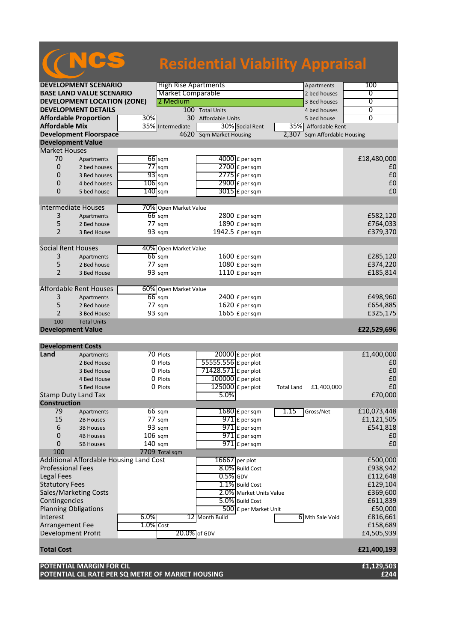|                             |                                    |                                         |                             | <b>Residential Viability Appraisal</b> |                                |       |                        |                   |
|-----------------------------|------------------------------------|-----------------------------------------|-----------------------------|----------------------------------------|--------------------------------|-------|------------------------|-------------------|
|                             |                                    |                                         |                             |                                        |                                |       |                        |                   |
|                             | <b>DEVELOPMENT SCENARIO</b>        |                                         | <b>High Rise Apartments</b> |                                        |                                |       | Apartments             | 100               |
|                             | <b>BASE LAND VALUE SCENARIO</b>    |                                         | <b>Market Comparable</b>    |                                        |                                |       | 2 bed houses           | 0                 |
|                             | <b>DEVELOPMENT LOCATION (ZONE)</b> |                                         | 2 Medium                    |                                        |                                |       | 3 Bed houses           | $\overline{0}$    |
|                             | <b>DEVELOPMENT DETAILS</b>         |                                         |                             | 100 Total Units                        |                                |       | 4 bed houses           | 0                 |
|                             | <b>Affordable Proportion</b>       | 30%                                     |                             | 30 Affordable Units                    |                                |       | 5 bed house            | $\overline{0}$    |
| <b>Affordable Mix</b>       |                                    | 35%                                     | Intermediate                |                                        | 30% Social Rent                |       | 35% Affordable Rent    |                   |
|                             | <b>Development Floorspace</b>      |                                         |                             | 4620 Sqm Market Housing                |                                | 2,307 | Sqm Affordable Housing |                   |
| <b>Development Value</b>    |                                    |                                         |                             |                                        |                                |       |                        |                   |
| <b>Market Houses</b>        |                                    |                                         |                             |                                        |                                |       |                        |                   |
| 70                          | Apartments                         | $66$ sqm                                |                             |                                        | $4000$ £ per sqm               |       |                        | £18,480,000       |
| 0                           | 2 bed houses                       | $77$ sqm                                |                             |                                        | 2700 £ per sqm                 |       |                        | £0                |
| 0                           | 3 Bed houses                       | $93$ sqm                                |                             |                                        | $2775$ $E$ per sqm             |       |                        | £0                |
| 0                           | 4 bed houses                       | $106$ sqm                               |                             |                                        | 2900 £ per sqm                 |       |                        | £0                |
| $\Omega$                    | 5 bed house                        | $140$ sqm                               |                             |                                        | $3015$ £ per sqm               |       |                        | £0                |
|                             |                                    |                                         |                             |                                        |                                |       |                        |                   |
| <b>Intermediate Houses</b>  |                                    |                                         | 70% Open Market Value       |                                        |                                |       |                        |                   |
| 3                           | Apartments                         | $66$ sqm                                |                             |                                        | 2800 £ per sqm                 |       |                        | £582,120          |
| 5                           | 2 Bed house                        | 77 sqm                                  |                             |                                        | 1890 £ per sqm                 |       |                        | £764,033          |
| $\overline{2}$              | 3 Bed House                        | 93 sqm                                  |                             |                                        | 1942.5 £ per sqm               |       |                        | £379,370          |
| <b>Social Rent Houses</b>   |                                    |                                         | 40% Open Market Value       |                                        |                                |       |                        |                   |
| 3                           | Apartments                         | $66$ sqm                                |                             |                                        | 1600 £ per sqm                 |       |                        | £285,120          |
| 5                           | 2 Bed house                        | 77 sqm                                  |                             |                                        | 1080 £ per sqm                 |       |                        | £374,220          |
| $\overline{2}$              | 3 Bed House                        | 93 sqm                                  |                             |                                        | 1110 £ per sqm                 |       |                        | £185,814          |
|                             |                                    |                                         |                             |                                        |                                |       |                        |                   |
|                             | <b>Affordable Rent Houses</b>      |                                         | 60% Open Market Value       |                                        |                                |       |                        |                   |
| 3                           | Apartments                         | $66$ sqm                                |                             |                                        | 2400 £ per sqm                 |       |                        | £498,960          |
| 5                           | 2 Bed house                        | $77 \text{ sqm}$                        |                             |                                        | 1620 £ per sqm                 |       |                        | £654,885          |
| $\overline{2}$              | 3 Bed House                        | 93 sqm                                  |                             |                                        | 1665 £ per sqm                 |       |                        | £325,175          |
| 100                         | <b>Total Units</b>                 |                                         |                             |                                        |                                |       |                        |                   |
| <b>Development Value</b>    |                                    |                                         |                             |                                        |                                |       |                        | £22,529,696       |
| <b>Development Costs</b>    |                                    |                                         |                             |                                        |                                |       |                        |                   |
| Land                        | Apartments                         | 70 Plots                                |                             |                                        | 20000 £ per plot               |       |                        | £1,400,000        |
|                             | 2 Bed House                        | 0 Plots                                 |                             | 55555.556 £ per plot                   |                                |       |                        | £0                |
|                             | 3 Bed House                        | 0 Plots                                 |                             | 71428.571 $\epsilon$ per plot          |                                |       |                        | £0                |
|                             | 4 Bed House                        | 0 Plots                                 |                             | $100000$ £ per plot                    |                                |       |                        | £0                |
|                             | 5 Bed House                        | 0 Plots                                 |                             |                                        | $\overline{125000}$ £ per plot |       | Total Land £1,400,000  | $\pmb{\text{f0}}$ |
| <b>Stamp Duty Land Tax</b>  |                                    |                                         |                             | 5.0%                                   |                                |       |                        | £70,000           |
| <b>Construction</b>         |                                    |                                         |                             |                                        |                                |       |                        |                   |
| 79                          | Apartments                         | 66 sqm                                  |                             |                                        | $1680$ £ per sqm               | 1.15  | Gross/Net              | £10,073,448       |
| 15                          | 2B Houses                          | 77 sqm                                  |                             |                                        | $971$ $E$ per sqm              |       |                        | £1,121,505        |
| 6                           | <b>3B Houses</b>                   | 93 sqm                                  |                             |                                        | $971$ $E$ per sqm              |       |                        | £541,818          |
| $\mathbf 0$                 | <b>4B Houses</b>                   | $106$ sqm                               |                             |                                        | $971$ $E$ per sqm              |       |                        | £0                |
| 0                           | <b>5B Houses</b>                   | $140$ sqm                               |                             |                                        | $971$ $E$ per sqm              |       |                        | £0                |
| 100                         |                                    | 7709 Total sqm                          |                             |                                        |                                |       |                        |                   |
|                             |                                    | Additional Affordable Housing Land Cost |                             | 16667 per plot                         |                                |       |                        | £500,000          |
| <b>Professional Fees</b>    |                                    |                                         |                             |                                        | 8.0% Build Cost                |       |                        | £938,942          |
| <b>Legal Fees</b>           |                                    |                                         |                             | $0.5%$ GDV                             |                                |       |                        | £112,648          |
| <b>Statutory Fees</b>       |                                    |                                         |                             |                                        | 1.1% Build Cost                |       |                        | £129,104          |
|                             | Sales/Marketing Costs              |                                         |                             |                                        | 2.0% Market Units Value        |       |                        | £369,600          |
| Contingencies               |                                    |                                         |                             |                                        | 5.0% Build Cost                |       |                        | £611,839          |
| <b>Planning Obligations</b> |                                    |                                         |                             |                                        | 500 £ per Market Unit          |       |                        | £50,000           |
| Interest                    |                                    | 6.0%                                    |                             | 12 Month Build                         |                                |       | 6 Mth Sale Void        | £816,661          |
| Arrangement Fee             |                                    | $1.0\%$ Cost                            |                             |                                        |                                |       |                        | £158,689          |
| Development Profit          |                                    |                                         | 20.0% of GDV                |                                        |                                |       |                        | £4,505,939        |
|                             |                                    |                                         |                             |                                        |                                |       |                        |                   |
| <b>Total Cost</b>           |                                    |                                         |                             |                                        |                                |       |                        | £21,400,193       |

**POTENTIAL MARGIN FOR CIL £1,129,503 POTENTIAL CIL RATE PER SQ METRE OF MARKET HOUSING £244**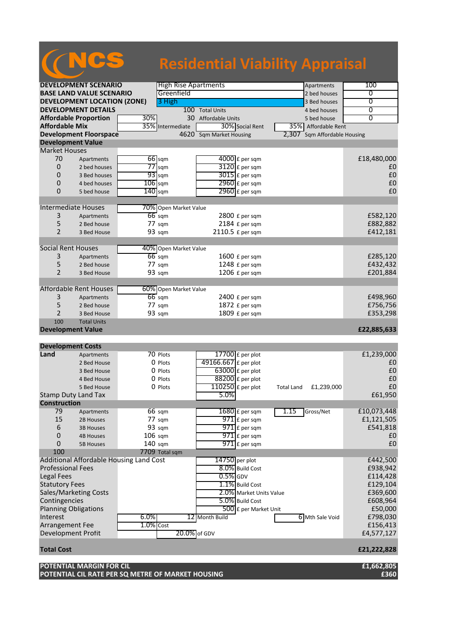|                             |                                    |                                         |                             |                         | <b>Residential Viability Appraisal</b> |                |
|-----------------------------|------------------------------------|-----------------------------------------|-----------------------------|-------------------------|----------------------------------------|----------------|
|                             | <b>DEVELOPMENT SCENARIO</b>        |                                         | <b>High Rise Apartments</b> |                         |                                        | 100            |
|                             | <b>BASE LAND VALUE SCENARIO</b>    |                                         | Greenfield                  |                         | Apartments                             | 0              |
|                             |                                    |                                         |                             |                         | 2 bed houses                           |                |
|                             | <b>DEVELOPMENT LOCATION (ZONE)</b> |                                         | 3 High                      |                         | 3 Bed houses                           | $\overline{0}$ |
|                             | <b>DEVELOPMENT DETAILS</b>         |                                         |                             | 100 Total Units         | 4 bed houses                           | 0              |
|                             | <b>Affordable Proportion</b>       | 30%                                     |                             | 30 Affordable Units     | 5 bed house                            | $\overline{0}$ |
| <b>Affordable Mix</b>       |                                    |                                         | 35% Intermediate            | 30% Social Rent         | 35% Affordable Rent                    |                |
|                             | <b>Development Floorspace</b>      |                                         |                             | 4620 Sqm Market Housing | 2,307<br>Sqm Affordable Housing        |                |
| <b>Development Value</b>    |                                    |                                         |                             |                         |                                        |                |
| <b>Market Houses</b>        |                                    |                                         |                             |                         |                                        |                |
| 70                          | Apartments                         | $66$ sqm                                |                             | $4000$ £ per sqm        |                                        | £18,480,000    |
| $\mathbf 0$                 | 2 bed houses                       | $77$ sqm                                |                             | 3120 £ per sqm          |                                        | £0             |
| $\Omega$                    | 3 Bed houses                       | $93$ sqm                                |                             | $3015$ £ per sqm        |                                        | £0             |
| 0                           | 4 bed houses                       | $106$ sqm                               |                             | 2960 £ per sqm          |                                        | £0             |
| $\Omega$                    | 5 bed house                        | $140$ sqm                               |                             | $2960$ £ per sqm        |                                        | £0             |
|                             |                                    |                                         |                             |                         |                                        |                |
| <b>Intermediate Houses</b>  |                                    |                                         | 70% Open Market Value       |                         |                                        |                |
| 3                           | Apartments                         | $66$ sqm                                |                             | 2800 £ per sqm          |                                        | £582,120       |
| 5                           | 2 Bed house                        | $77 \text{ sqm}$                        |                             | 2184 £ per sqm          |                                        | £882,882       |
| $\overline{2}$              | 3 Bed House                        | 93 sqm                                  |                             | 2110.5 £ per sqm        |                                        | £412,181       |
|                             |                                    |                                         |                             |                         |                                        |                |
| <b>Social Rent Houses</b>   |                                    |                                         | 40% Open Market Value       |                         |                                        |                |
|                             |                                    |                                         |                             |                         |                                        |                |
| 3                           | Apartments                         | $66$ sqm                                |                             | 1600 £ per sqm          |                                        | £285,120       |
| 5                           | 2 Bed house                        | 77 sqm                                  |                             | 1248 £ per sqm          |                                        | £432,432       |
| $\overline{2}$              | 3 Bed House                        | 93 sqm                                  |                             | 1206 £ per sqm          |                                        | £201,884       |
|                             |                                    |                                         |                             |                         |                                        |                |
|                             | <b>Affordable Rent Houses</b>      |                                         | 60% Open Market Value       |                         |                                        |                |
| 3                           | Apartments                         | $66$ sqm                                |                             | $2400$ £ per sqm        |                                        | £498,960       |
| 5                           | 2 Bed house                        | $77 \text{ sqm}$                        |                             | 1872 £ per sqm          |                                        | £756,756       |
| 2                           | 3 Bed House                        | 93 sqm                                  |                             | 1809 £ per sqm          |                                        | £353,298       |
| 100                         | <b>Total Units</b>                 |                                         |                             |                         |                                        |                |
| <b>Development Value</b>    |                                    |                                         |                             |                         |                                        | £22,885,633    |
|                             |                                    |                                         |                             |                         |                                        |                |
| <b>Development Costs</b>    |                                    |                                         |                             |                         |                                        |                |
| Land                        | Apartments                         | 70 Plots                                |                             | 17700 £ per plot        |                                        | £1,239,000     |
|                             | 2 Bed House                        | 0 Plots                                 |                             | 49166.667 £ per plot    |                                        | £0             |
|                             | 3 Bed House                        | 0 Plots                                 |                             | 63000 £ per plot        |                                        | £0             |
|                             | 4 Bed House                        | 0 Plots                                 |                             | $88200$ £ per plot      |                                        | £0             |
|                             | 5 Bed House                        | 0 Plots                                 |                             | $110250$ £ per plot     | <b>Total Land</b><br>£1,239,000        | £0             |
|                             | <b>Stamp Duty Land Tax</b>         |                                         |                             | 5.0%                    |                                        | £61,950        |
| <b>Construction</b>         |                                    |                                         |                             |                         |                                        |                |
| 79                          | Apartments                         | 66 sqm                                  |                             | $1680$ £ per sqm        | 1.15<br>Gross/Net                      | £10,073,448    |
| 15                          | 2B Houses                          | 77 sqm                                  |                             | $971$ $E$ per sqm       |                                        | £1,121,505     |
| 6                           | <b>3B Houses</b>                   | 93 sqm                                  |                             | $971$ $E$ per sqm       |                                        | £541,818       |
| $\mathbf 0$                 | <b>4B Houses</b>                   | $106$ sqm                               |                             | $971$ $E$ per sqm       |                                        | £0             |
| 0                           |                                    |                                         |                             | $971$ E per sam         |                                        | £0             |
|                             | <b>5B Houses</b>                   | $140$ sqm                               |                             |                         |                                        |                |
| 100                         |                                    | 7709 Total sqm                          |                             |                         |                                        |                |
|                             |                                    | Additional Affordable Housing Land Cost |                             | 14750 per plot          |                                        | £442,500       |
| <b>Professional Fees</b>    |                                    |                                         |                             | 8.0% Build Cost         |                                        | £938,942       |
| <b>Legal Fees</b>           |                                    |                                         |                             | $0.5\%$ GDV             |                                        | £114,428       |
| <b>Statutory Fees</b>       |                                    |                                         |                             | 1.1% Build Cost         |                                        | £129,104       |
|                             | Sales/Marketing Costs              |                                         |                             | 2.0% Market Units Value |                                        | £369,600       |
| Contingencies               |                                    |                                         |                             | 5.0% Build Cost         |                                        | £608,964       |
| <b>Planning Obligations</b> |                                    |                                         |                             | 500 £ per Market Unit   |                                        | £50,000        |
| Interest                    |                                    | 6.0%                                    |                             | 12 Month Build          | 6 Mth Sale Void                        | £798,030       |
| Arrangement Fee             |                                    | $1.0\%$ Cost                            |                             |                         |                                        | £156,413       |
| Development Profit          |                                    |                                         | 20.0% of GDV                |                         |                                        | £4,577,127     |
|                             |                                    |                                         |                             |                         |                                        |                |
| <b>Total Cost</b>           |                                    |                                         |                             |                         |                                        | £21,222,828    |

**POTENTIAL MARGIN FOR CIL £1,662,805 POTENTIAL CIL RATE PER SQ METRE OF MARKET HOUSING £360**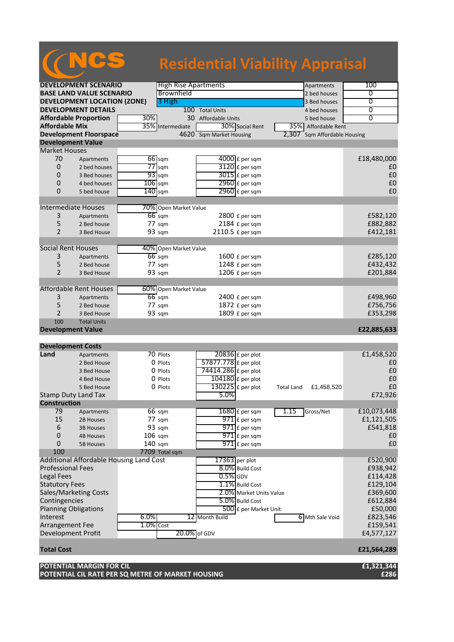|                                            |                                         |              |                             | <b>Residential Viability Appraisal</b> |                         |       |                        |                      |
|--------------------------------------------|-----------------------------------------|--------------|-----------------------------|----------------------------------------|-------------------------|-------|------------------------|----------------------|
|                                            | <b>DEVELOPMENT SCENARIO</b>             |              | <b>High Rise Apartments</b> |                                        |                         |       | Apartments             | 100                  |
|                                            | <b>BASE LAND VALUE SCENARIO</b>         |              | Brownfield                  |                                        |                         |       | 2 bed houses           | 0                    |
|                                            | <b>DEVELOPMENT LOCATION (ZONE)</b>      |              | 3 High                      |                                        |                         |       | 3 Bed houses           | $\overline{0}$       |
|                                            | <b>DEVELOPMENT DETAILS</b>              |              |                             | 100 Total Units                        |                         |       | 4 bed houses           | 0                    |
| <b>Affordable Proportion</b>               |                                         | 30%          |                             | 30 Affordable Units                    |                         |       | 5 bed house            | $\overline{0}$       |
| <b>Affordable Mix</b>                      |                                         | 35%          | Intermediate                |                                        | 30% Social Rent         |       | 35% Affordable Rent    |                      |
|                                            | <b>Development Floorspace</b>           |              |                             | 4620 Sqm Market Housing                |                         | 2,307 | Sqm Affordable Housing |                      |
| <b>Development Value</b>                   |                                         |              |                             |                                        |                         |       |                        |                      |
| <b>Market Houses</b>                       |                                         |              |                             |                                        |                         |       |                        |                      |
| 70                                         | Apartments                              |              | 66 sqm                      |                                        | $4000$ £ per sqm        |       |                        | £18,480,000          |
| 0                                          | 2 bed houses                            |              | $77$ sqm                    |                                        | 3120 £ per sqm          |       |                        | £0                   |
| 0                                          | 3 Bed houses                            |              | $93$ sqm                    |                                        | $3015$ £ per sqm        |       |                        | £0                   |
| 0                                          | 4 bed houses                            | $106$ sqm    |                             |                                        | 2960 £ per sqm          |       |                        | £0                   |
| $\Omega$                                   | 5 bed house                             | $140$ sqm    |                             |                                        | $2960$ £ per sqm        |       |                        | £0                   |
|                                            |                                         |              |                             |                                        |                         |       |                        |                      |
| <b>Intermediate Houses</b>                 |                                         |              | 70% Open Market Value       |                                        |                         |       |                        |                      |
| 3                                          | Apartments                              |              | $66$ sqm                    |                                        | 2800 £ per sqm          |       |                        | £582,120             |
| 5                                          | 2 Bed house                             |              | $77 \text{ sqm}$            |                                        | 2184 £ per sqm          |       |                        | £882,882             |
| $\overline{2}$                             | 3 Bed House                             |              | 93 sqm                      | 2110.5 £ per sqm                       |                         |       |                        | £412,181             |
|                                            |                                         |              |                             |                                        |                         |       |                        |                      |
| <b>Social Rent Houses</b>                  |                                         |              | 40% Open Market Value       |                                        |                         |       |                        |                      |
| 3                                          | Apartments                              |              | $66$ sqm                    |                                        | 1600 £ per sqm          |       |                        | £285,120             |
| 5<br>$\overline{2}$                        | 2 Bed house                             |              | 77 sqm                      |                                        | 1248 £ per sqm          |       |                        | £432,432             |
|                                            | 3 Bed House                             |              | 93 sqm                      |                                        | 1206 £ per sqm          |       |                        | £201,884             |
|                                            | <b>Affordable Rent Houses</b>           |              | 60% Open Market Value       |                                        |                         |       |                        |                      |
| 3                                          | Apartments                              |              | $66$ sqm                    |                                        | $2400$ £ per sqm        |       |                        | £498,960             |
| 5                                          | 2 Bed house                             |              | $77 \text{ sqm}$            |                                        | 1872 £ per sqm          |       |                        | £756,756             |
| $\overline{2}$                             | 3 Bed House                             |              | 93 sqm                      |                                        | 1809 £ per sqm          |       |                        | £353,298             |
| 100                                        | <b>Total Units</b>                      |              |                             |                                        |                         |       |                        |                      |
| <b>Development Value</b>                   |                                         |              |                             |                                        |                         |       |                        | £22,885,633          |
|                                            |                                         |              |                             |                                        |                         |       |                        |                      |
| <b>Development Costs</b>                   |                                         |              |                             |                                        |                         |       |                        |                      |
| Land                                       | Apartments                              |              | 70 Plots                    | $20836$ £ per plot                     |                         |       |                        | £1,458,520           |
|                                            | 2 Bed House                             |              | 0 Plots                     | 57877.778 £ per plot                   |                         |       |                        | £0                   |
|                                            | 3 Bed House                             |              | 0 Plots                     | 74414.286 £ per plot                   |                         |       |                        | £0                   |
|                                            | 4 Bed House                             |              | 0 Plots                     | $104180$ £ per plot                    |                         |       |                        | £0                   |
|                                            | 5 Bed House                             |              | 0 Plots                     | $130225$ £ per plot                    |                         |       | Total Land £1,458,520  | £0                   |
| <b>Stamp Duty Land Tax</b>                 |                                         |              |                             | 5.0%                                   |                         |       |                        | £72,926              |
| <b>Construction</b>                        |                                         |              |                             |                                        |                         |       |                        |                      |
| 79                                         | Apartments                              |              | 66 sqm                      |                                        | $1680$ £ per sqm        | 1.15  | Gross/Net              | £10,073,448          |
| 15                                         | 2B Houses                               |              | 77 sqm                      |                                        | $971$ $E$ per sqm       |       |                        | £1,121,505           |
| 6                                          | <b>3B Houses</b>                        |              | 93 sqm                      |                                        | $971$ $E$ per sqm       |       |                        | £541,818             |
| 0                                          | <b>4B Houses</b>                        |              | $106$ sqm                   |                                        | $971$ $E$ per sqm       |       |                        | £0                   |
| 0                                          | <b>5B Houses</b>                        | $140$ sqm    |                             |                                        | $971$ E per sqm         |       |                        | £0                   |
| 100                                        |                                         |              | 7709 Total sqm              |                                        |                         |       |                        |                      |
|                                            | Additional Affordable Housing Land Cost |              |                             | $17363$ per plot                       |                         |       |                        | £520,900             |
| <b>Professional Fees</b>                   |                                         |              |                             |                                        | 8.0% Build Cost         |       |                        | £938,942             |
| <b>Legal Fees</b><br><b>Statutory Fees</b> |                                         |              |                             | $0.5%$ GDV                             | 1.1% Build Cost         |       |                        | £114,428             |
| Sales/Marketing Costs                      |                                         |              |                             |                                        | 2.0% Market Units Value |       |                        | £129,104<br>£369,600 |
| Contingencies                              |                                         |              |                             |                                        | 5.0% Build Cost         |       |                        | £612,884             |
| <b>Planning Obligations</b>                |                                         |              |                             |                                        | 500 £ per Market Unit   |       |                        | £50,000              |
| Interest                                   |                                         | 6.0%         |                             | 12 Month Build                         |                         |       | 6 Mth Sale Void        | £823,546             |
| Arrangement Fee                            |                                         | $1.0\%$ Cost |                             |                                        |                         |       |                        | £159,541             |
| Development Profit                         |                                         |              |                             | 20.0% of GDV                           |                         |       |                        | £4,577,127           |
|                                            |                                         |              |                             |                                        |                         |       |                        |                      |
| <b>Total Cost</b>                          |                                         |              |                             |                                        |                         |       |                        | £21,564,289          |
|                                            | POTENTIAL MARGIN FOR CIL                |              |                             |                                        |                         |       |                        | £1,321,344           |

**POTENTIAL CIL RATE PER SQ METRE OF MARKET HOUSING £286**

**Service Control**